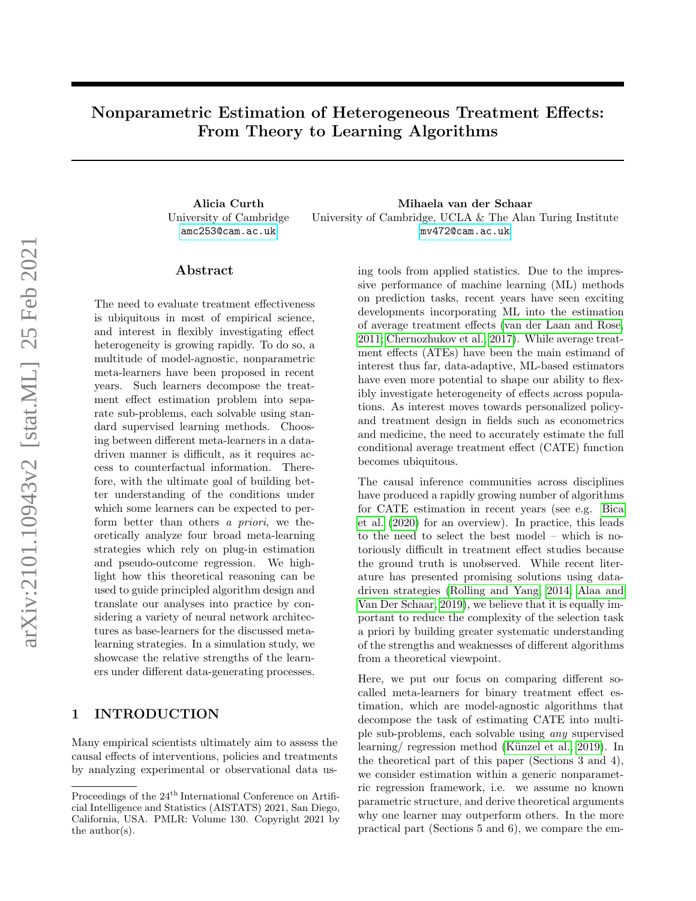# Nonparametric Estimation of Heterogeneous Treatment Effects: From Theory to Learning Algorithms

University of Cambridge <amc253@cam.ac.uk>

Alicia Curth Mihaela van der Schaar University of Cambridge, UCLA & The Alan Turing Institute <mv472@cam.ac.uk>

### ${\rm Abstract}$

The need to evaluate treatment effectiveness is ubiquitous in most of empirical science, and interest in flexibly investigating effect heterogeneity is growing rapidly. To do so, a multitude of model-agnostic, nonparametric meta-learners have been proposed in recent years. Such learners decompose the treatment effect estimation problem into separate sub-problems, each solvable using standard supervised learning methods. Choosing between different meta-learners in a datadriven manner is difficult, as it requires access to counterfactual information. Therefore, with the ultimate goal of building better understanding of the conditions under which some learners can be expected to perform better than others a priori, we theoretically analyze four broad meta-learning strategies which rely on plug-in estimation and pseudo-outcome regression. We highlight how this theoretical reasoning can be used to guide principled algorithm design and translate our analyses into practice by considering a variety of neural network architectures as base-learners for the discussed metalearning strategies. In a simulation study, we showcase the relative strengths of the learners under different data-generating processes.

# 1 INTRODUCTION

Many empirical scientists ultimately aim to assess the causal effects of interventions, policies and treatments by analyzing experimental or observational data using tools from applied statistics. Due to the impressive performance of machine learning (ML) methods on prediction tasks, recent years have seen exciting developments incorporating ML into the estimation of average treatment effects [\(van der Laan and Rose,](#page-10-0) [2011;](#page-10-0) [Chernozhukov et al., 2017\)](#page-9-0). While average treatment effects (ATEs) have been the main estimand of interest thus far, data-adaptive, ML-based estimators have even more potential to shape our ability to flexibly investigate heterogeneity of effects across populations. As interest moves towards personalized policyand treatment design in fields such as econometrics and medicine, the need to accurately estimate the full conditional average treatment effect (CATE) function becomes ubiquitous.

The causal inference communities across disciplines have produced a rapidly growing number of algorithms for CATE estimation in recent years (see e.g. [Bica](#page-9-1) [et al.](#page-9-1) [\(2020\)](#page-9-1) for an overview). In practice, this leads to the need to select the best model – which is notoriously difficult in treatment effect studies because the ground truth is unobserved. While recent literature has presented promising solutions using datadriven strategies [\(Rolling and Yang, 2014;](#page-10-1) [Alaa and](#page-9-2) [Van Der Schaar, 2019\)](#page-9-2), we believe that it is equally important to reduce the complexity of the selection task a priori by building greater systematic understanding of the strengths and weaknesses of different algorithms from a theoretical viewpoint.

Here, we put our focus on comparing different socalled meta-learners for binary treatment effect estimation, which are model-agnostic algorithms that decompose the task of estimating CATE into multiple sub-problems, each solvable using any supervised learning/ regression method (Künzel et al., 2019). In the theoretical part of this paper (Sections 3 and 4), we consider estimation within a generic nonparametric regression framework, i.e. we assume no known parametric structure, and derive theoretical arguments why one learner may outperform others. In the more practical part (Sections 5 and 6), we compare the em-

Proceedings of the 24<sup>th</sup> International Conference on Artificial Intelligence and Statistics (AISTATS) 2021, San Diego, California, USA. PMLR: Volume 130. Copyright 2021 by the author(s).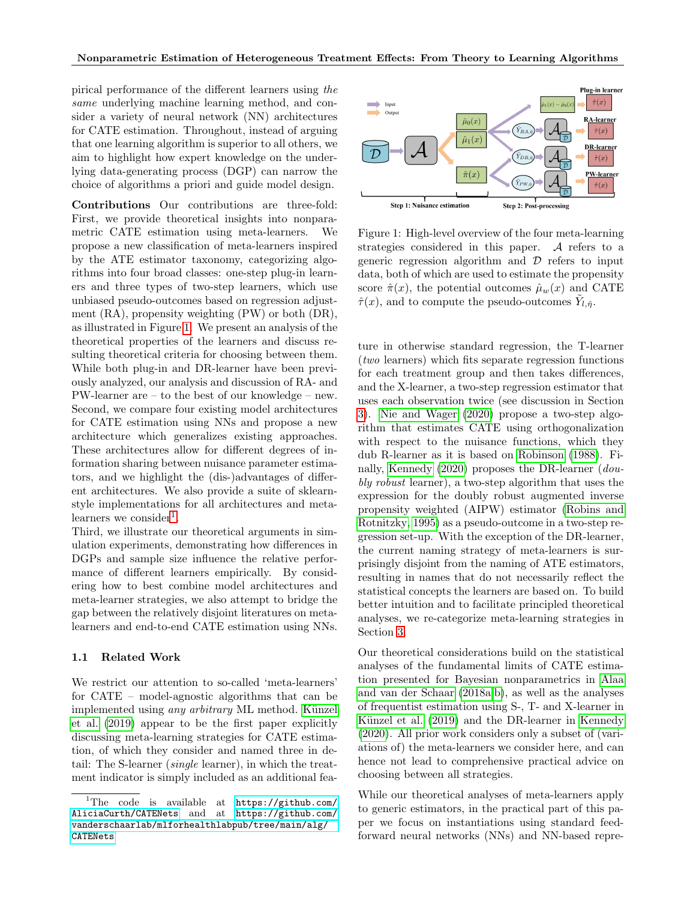pirical performance of the different learners using the same underlying machine learning method, and consider a variety of neural network (NN) architectures for CATE estimation. Throughout, instead of arguing that one learning algorithm is superior to all others, we aim to highlight how expert knowledge on the underlying data-generating process (DGP) can narrow the choice of algorithms a priori and guide model design.

Contributions Our contributions are three-fold: First, we provide theoretical insights into nonparametric CATE estimation using meta-learners. We propose a new classification of meta-learners inspired by the ATE estimator taxonomy, categorizing algorithms into four broad classes: one-step plug-in learners and three types of two-step learners, which use unbiased pseudo-outcomes based on regression adjustment (RA), propensity weighting (PW) or both (DR), as illustrated in Figure [1.](#page-1-0) We present an analysis of the theoretical properties of the learners and discuss resulting theoretical criteria for choosing between them. While both plug-in and DR-learner have been previously analyzed, our analysis and discussion of RA- and PW-learner are – to the best of our knowledge – new. Second, we compare four existing model architectures for CATE estimation using NNs and propose a new architecture which generalizes existing approaches. These architectures allow for different degrees of information sharing between nuisance parameter estimators, and we highlight the (dis-)advantages of different architectures. We also provide a suite of sklearnstyle implementations for all architectures and meta-learners we consider<sup>[1](#page-1-1)</sup>.

Third, we illustrate our theoretical arguments in simulation experiments, demonstrating how differences in DGPs and sample size influence the relative performance of different learners empirically. By considering how to best combine model architectures and meta-learner strategies, we also attempt to bridge the gap between the relatively disjoint literatures on metalearners and end-to-end CATE estimation using NNs.

#### 1.1 Related Work

We restrict our attention to so-called 'meta-learners' for CATE – model-agnostic algorithms that can be implemented using any arbitrary ML method. Künzel [et al.](#page-9-3) [\(2019\)](#page-9-3) appear to be the first paper explicitly discussing meta-learning strategies for CATE estimation, of which they consider and named three in detail: The S-learner (single learner), in which the treatment indicator is simply included as an additional fea-



<span id="page-1-0"></span>Figure 1: High-level overview of the four meta-learning strategies considered in this paper. A refers to a generic regression algorithm and  $\mathcal D$  refers to input data, both of which are used to estimate the propensity score  $\hat{\pi}(x)$ , the potential outcomes  $\hat{\mu}_w(x)$  and CATE  $\hat{\tau}(x)$ , and to compute the pseudo-outcomes  $\tilde{Y}_{l,\hat{\eta}}$ .

ture in otherwise standard regression, the T-learner (two learners) which fits separate regression functions for each treatment group and then takes differences, and the X-learner, a two-step regression estimator that uses each observation twice (see discussion in Section [3\)](#page-2-0). [Nie and Wager](#page-10-2) [\(2020\)](#page-10-2) propose a two-step algorithm that estimates CATE using orthogonalization with respect to the nuisance functions, which they dub R-learner as it is based on [Robinson](#page-10-3) [\(1988\)](#page-10-3). Finally, [Kennedy](#page-9-4) [\(2020\)](#page-9-4) proposes the DR-learner (doubly robust learner), a two-step algorithm that uses the expression for the doubly robust augmented inverse propensity weighted (AIPW) estimator [\(Robins and](#page-10-4) [Rotnitzky, 1995\)](#page-10-4) as a pseudo-outcome in a two-step regression set-up. With the exception of the DR-learner, the current naming strategy of meta-learners is surprisingly disjoint from the naming of ATE estimators, resulting in names that do not necessarily reflect the statistical concepts the learners are based on. To build better intuition and to facilitate principled theoretical analyses, we re-categorize meta-learning strategies in Section [3.](#page-2-0)

Our theoretical considerations build on the statistical analyses of the fundamental limits of CATE estimation presented for Bayesian nonparametrics in [Alaa](#page-9-5) [and van der Schaar](#page-9-5) [\(2018a,](#page-9-5)[b\)](#page-9-6), as well as the analyses of frequentist estimation using S-, T- and X-learner in Künzel et al. [\(2019\)](#page-9-3) and the DR-learner in [Kennedy](#page-9-4) [\(2020\)](#page-9-4). All prior work considers only a subset of (variations of) the meta-learners we consider here, and can hence not lead to comprehensive practical advice on choosing between all strategies.

While our theoretical analyses of meta-learners apply to generic estimators, in the practical part of this paper we focus on instantiations using standard feedforward neural networks (NNs) and NN-based repre-

<span id="page-1-1"></span><sup>&</sup>lt;sup>1</sup>The code is available at [https://github.com/](https://github.com/AliciaCurth/CATENets) [AliciaCurth/CATENets](https://github.com/AliciaCurth/CATENets) and at [https://github.com/](https://github.com/vanderschaarlab/mlforhealthlabpub/tree/main/alg/CATENets) [vanderschaarlab/mlforhealthlabpub/tree/main/alg/](https://github.com/vanderschaarlab/mlforhealthlabpub/tree/main/alg/CATENets) [CATENets](https://github.com/vanderschaarlab/mlforhealthlabpub/tree/main/alg/CATENets)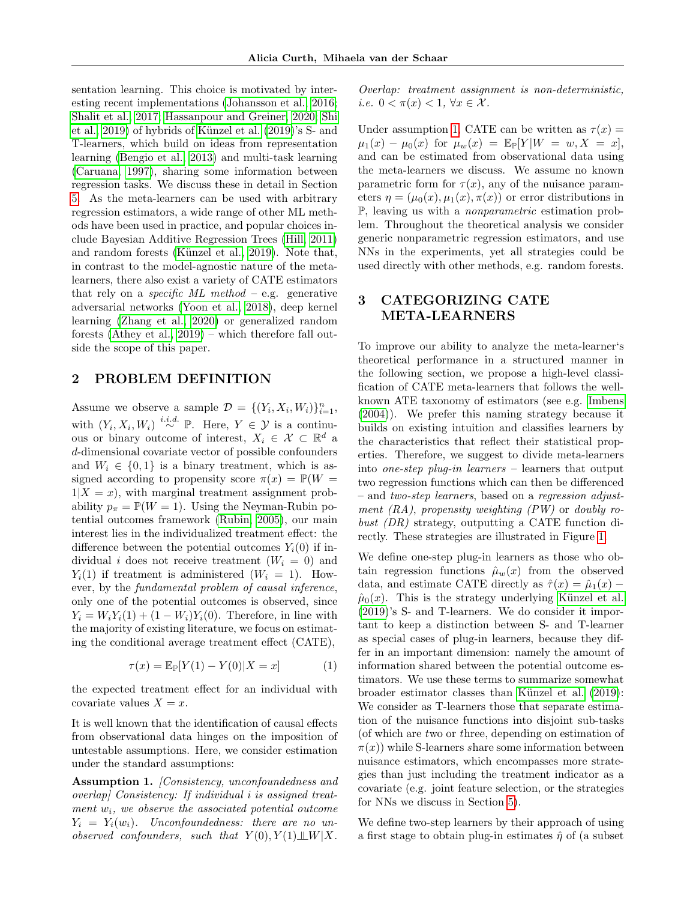sentation learning. This choice is motivated by interesting recent implementations [\(Johansson et al., 2016;](#page-9-7) [Shalit et al., 2017;](#page-10-5) [Hassanpour and Greiner, 2020;](#page-9-8) [Shi](#page-10-6) et al.,  $2019$ ) of hybrids of Künzel et al.  $(2019)$ 's S- and T-learners, which build on ideas from representation learning [\(Bengio et al., 2013\)](#page-9-9) and multi-task learning [\(Caruana, 1997\)](#page-9-10), sharing some information between regression tasks. We discuss these in detail in Section [5.](#page-5-0) As the meta-learners can be used with arbitrary regression estimators, a wide range of other ML methods have been used in practice, and popular choices include Bayesian Additive Regression Trees [\(Hill, 2011\)](#page-9-11) and random forests (Künzel et al., 2019). Note that, in contrast to the model-agnostic nature of the metalearners, there also exist a variety of CATE estimators that rely on a *specific ML method* – e.g. generative adversarial networks [\(Yoon et al., 2018\)](#page-10-7), deep kernel learning [\(Zhang et al., 2020\)](#page-10-8) or generalized random forests [\(Athey et al., 2019\)](#page-9-12) – which therefore fall outside the scope of this paper.

## 2 PROBLEM DEFINITION

Assume we observe a sample  $\mathcal{D} = \{(Y_i, X_i, W_i)\}_{i=1}^n$ , with  $(Y_i, X_i, W_i) \stackrel{i.i.d.}{\sim} \mathbb{P}$ . Here,  $Y \in \mathcal{Y}$  is a continuous or binary outcome of interest,  $X_i \in \mathcal{X} \subset \mathbb{R}^d$  a d-dimensional covariate vector of possible confounders and  $W_i \in \{0,1\}$  is a binary treatment, which is assigned according to propensity score  $\pi(x) = \mathbb{P}(W =$  $1|X = x$ , with marginal treatment assignment probability  $p_{\pi} = \mathbb{P}(W = 1)$ . Using the Neyman-Rubin potential outcomes framework [\(Rubin, 2005\)](#page-10-9), our main interest lies in the individualized treatment effect: the difference between the potential outcomes  $Y_i(0)$  if individual i does not receive treatment  $(W_i = 0)$  and  $Y_i(1)$  if treatment is administered  $(W_i = 1)$ . However, by the fundamental problem of causal inference, only one of the potential outcomes is observed, since  $Y_i = W_i Y_i(1) + (1 - W_i) Y_i(0)$ . Therefore, in line with the majority of existing literature, we focus on estimating the conditional average treatment effect (CATE),

$$
\tau(x) = \mathbb{E}_{\mathbb{P}}[Y(1) - Y(0)|X = x] \tag{1}
$$

the expected treatment effect for an individual with covariate values  $X = x$ .

It is well known that the identification of causal effects from observational data hinges on the imposition of untestable assumptions. Here, we consider estimation under the standard assumptions:

<span id="page-2-1"></span>Assumption 1. [Consistency, unconfoundedness and overlap] Consistency: If individual i is assigned treatment  $w_i$ , we observe the associated potential outcome  $Y_i = Y_i(w_i)$ . Unconfoundedness: there are no unobserved confounders, such that  $Y(0), Y(1) \perp \!\!\! \perp W \vert X$ . Overlap: treatment assignment is non-deterministic, i.e.  $0 < \pi(x) < 1$ ,  $\forall x \in \mathcal{X}$ .

Under assumption [1,](#page-2-1) CATE can be written as  $\tau(x) =$  $\mu_1(x) - \mu_0(x)$  for  $\mu_w(x) = \mathbb{E}_{\mathbb{P}}[Y|W = w, X = x],$ and can be estimated from observational data using the meta-learners we discuss. We assume no known parametric form for  $\tau(x)$ , any of the nuisance parameters  $\eta = (\mu_0(x), \mu_1(x), \pi(x))$  or error distributions in P, leaving us with a nonparametric estimation problem. Throughout the theoretical analysis we consider generic nonparametric regression estimators, and use NNs in the experiments, yet all strategies could be used directly with other methods, e.g. random forests.

# <span id="page-2-0"></span>3 CATEGORIZING CATE META-LEARNERS

To improve our ability to analyze the meta-learner's theoretical performance in a structured manner in the following section, we propose a high-level classification of CATE meta-learners that follows the wellknown ATE taxonomy of estimators (see e.g. [Imbens](#page-9-13) [\(2004\)](#page-9-13)). We prefer this naming strategy because it builds on existing intuition and classifies learners by the characteristics that reflect their statistical properties. Therefore, we suggest to divide meta-learners into one-step plug-in learners – learners that output two regression functions which can then be differenced – and two-step learners, based on a regression adjustment  $(RA)$ , propensity weighting  $(PW)$  or doubly robust (DR) strategy, outputting a CATE function directly. These strategies are illustrated in Figure [1.](#page-1-0)

We define one-step plug-in learners as those who obtain regression functions  $\hat{\mu}_w(x)$  from the observed data, and estimate CATE directly as  $\hat{\tau}(x) = \hat{\mu}_1(x)$  $\hat{\mu}_0(x)$ . This is the strategy underlying Künzel et al. [\(2019\)](#page-9-3)'s S- and T-learners. We do consider it important to keep a distinction between S- and T-learner as special cases of plug-in learners, because they differ in an important dimension: namely the amount of information shared between the potential outcome estimators. We use these terms to summarize somewhat broader estimator classes than Künzel et al.  $(2019)$ : We consider as T-learners those that separate estimation of the nuisance functions into disjoint sub-tasks (of which are two or three, depending on estimation of  $\pi(x)$ ) while S-learners share some information between nuisance estimators, which encompasses more strategies than just including the treatment indicator as a covariate (e.g. joint feature selection, or the strategies for NNs we discuss in Section [5\)](#page-5-0).

We define two-step learners by their approach of using a first stage to obtain plug-in estimates  $\hat{\eta}$  of (a subset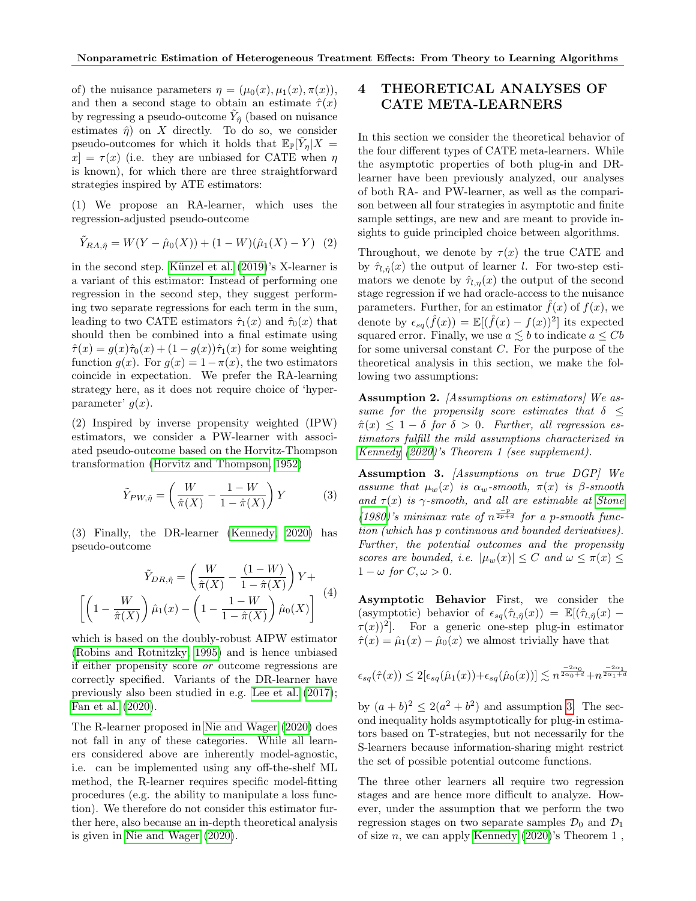of) the nuisance parameters  $\eta = (\mu_0(x), \mu_1(x), \pi(x)),$ and then a second stage to obtain an estimate  $\hat{\tau}(x)$ by regressing a pseudo-outcome  $\tilde{Y}_{\hat{\eta}}$  (based on nuisance estimates  $\hat{\eta}$ ) on X directly. To do so, we consider pseudo-outcomes for which it holds that  $\mathbb{E}_{\mathbb{P}}[\tilde{Y}_{\eta}|X]$  $x = \tau(x)$  (i.e. they are unbiased for CATE when  $\eta$ is known), for which there are three straightforward strategies inspired by ATE estimators:

(1) We propose an RA-learner, which uses the regression-adjusted pseudo-outcome

$$
\tilde{Y}_{RA,\hat{\eta}} = W(Y - \hat{\mu}_0(X)) + (1 - W)(\hat{\mu}_1(X) - Y) \tag{2}
$$

in the second step. Künzel et al.  $(2019)$ 's X-learner is a variant of this estimator: Instead of performing one regression in the second step, they suggest performing two separate regressions for each term in the sum, leading to two CATE estimators  $\hat{\tau}_1(x)$  and  $\hat{\tau}_0(x)$  that should then be combined into a final estimate using  $\hat{\tau}(x) = g(x)\hat{\tau}_0(x) + (1 - g(x))\hat{\tau}_1(x)$  for some weighting function  $g(x)$ . For  $g(x) = 1 - \pi(x)$ , the two estimators coincide in expectation. We prefer the RA-learning strategy here, as it does not require choice of 'hyperparameter'  $g(x)$ .

(2) Inspired by inverse propensity weighted (IPW) estimators, we consider a PW-learner with associated pseudo-outcome based on the Horvitz-Thompson transformation [\(Horvitz and Thompson, 1952\)](#page-9-14)

$$
\tilde{Y}_{PW,\hat{\eta}} = \left(\frac{W}{\hat{\pi}(X)} - \frac{1 - W}{1 - \hat{\pi}(X)}\right)Y\tag{3}
$$

(3) Finally, the DR-learner [\(Kennedy, 2020\)](#page-9-4) has pseudo-outcome

$$
\tilde{Y}_{DR,\hat{\eta}} = \left(\frac{W}{\hat{\pi}(X)} - \frac{(1 - W)}{1 - \hat{\pi}(X)}\right)Y + \left[\left(1 - \frac{W}{\hat{\pi}(X)}\right)\hat{\mu}_1(x) - \left(1 - \frac{1 - W}{1 - \hat{\pi}(X)}\right)\hat{\mu}_0(X)\right] \tag{4}
$$

which is based on the doubly-robust AIPW estimator [\(Robins and Rotnitzky, 1995\)](#page-10-4) and is hence unbiased if either propensity score or outcome regressions are correctly specified. Variants of the DR-learner have previously also been studied in e.g. [Lee et al.](#page-9-15) [\(2017\)](#page-9-15); [Fan et al.](#page-9-16) [\(2020\)](#page-9-16).

The R-learner proposed in [Nie and Wager](#page-10-2) [\(2020\)](#page-10-2) does not fall in any of these categories. While all learners considered above are inherently model-agnostic, i.e. can be implemented using any off-the-shelf ML method, the R-learner requires specific model-fitting procedures (e.g. the ability to manipulate a loss function). We therefore do not consider this estimator further here, also because an in-depth theoretical analysis is given in [Nie and Wager](#page-10-2) [\(2020\)](#page-10-2).

# 4 THEORETICAL ANALYSES OF CATE META-LEARNERS

In this section we consider the theoretical behavior of the four different types of CATE meta-learners. While the asymptotic properties of both plug-in and DRlearner have been previously analyzed, our analyses of both RA- and PW-learner, as well as the comparison between all four strategies in asymptotic and finite sample settings, are new and are meant to provide insights to guide principled choice between algorithms.

Throughout, we denote by  $\tau(x)$  the true CATE and by  $\hat{\tau}_{l,\hat{\eta}}(x)$  the output of learner l. For two-step estimators we denote by  $\hat{\tau}_{l,n}(x)$  the output of the second stage regression if we had oracle-access to the nuisance parameters. Further, for an estimator  $\hat{f}(x)$  of  $f(x)$ , we denote by  $\epsilon_{sq}(\hat{f}(x)) = \mathbb{E}[(\hat{f}(x) - f(x))^2]$  its expected squared error. Finally, we use  $a \lesssim b$  to indicate  $a \leq Cb$ for some universal constant C. For the purpose of the theoretical analysis in this section, we make the following two assumptions:

<span id="page-3-1"></span>Assumption 2. *[Assumptions on estimators]* We assume for the propensity score estimates that  $\delta$   $\leq$  $\hat{\pi}(x) \leq 1 - \delta$  for  $\delta > 0$ . Further, all regression estimators fulfill the mild assumptions characterized in [Kennedy](#page-9-4) [\(2020\)](#page-9-4)'s Theorem 1 (see supplement).

<span id="page-3-0"></span>Assumption 3. [Assumptions on true DGP] We assume that  $\mu_w(x)$  is  $\alpha_w$ -smooth,  $\pi(x)$  is  $\beta$ -smooth and  $\tau(x)$  is  $\gamma$ -smooth, and all are estimable at [Stone](#page-10-10) [\(1980\)](#page-10-10)'s minimax rate of  $n^{\frac{-p}{2p+d}}$  for a p-smooth function (which has p continuous and bounded derivatives). Further, the potential outcomes and the propensity scores are bounded, i.e.  $|\mu_w(x)| \leq C$  and  $\omega \leq \pi(x) \leq$  $1 - \omega$  for  $C, \omega > 0$ .

Asymptotic Behavior First, we consider the (asymptotic) behavior of  $\epsilon_{sq}(\hat{\tau}_{l,\hat{\eta}}(x)) = \mathbb{E}[(\hat{\tau}_{l,\hat{\eta}}(x)) \tau(x)$ <sup>2</sup>. For a generic one-step plug-in estimator  $\hat{\tau}(x) = \hat{\mu}_1(x) - \hat{\mu}_0(x)$  we almost trivially have that

$$
\epsilon_{sq}(\hat{\tau}(x)) \le 2[\epsilon_{sq}(\hat{\mu}_1(x)) + \epsilon_{sq}(\hat{\mu}_0(x))] \lesssim n^{\frac{-2\alpha_0}{2\alpha_0+d}} + n^{\frac{-2\alpha_1}{2\alpha_1+d}}
$$

by  $(a + b)^2 \leq 2(a^2 + b^2)$  and assumption [3.](#page-3-0) The second inequality holds asymptotically for plug-in estimators based on T-strategies, but not necessarily for the S-learners because information-sharing might restrict the set of possible potential outcome functions.

The three other learners all require two regression stages and are hence more difficult to analyze. However, under the assumption that we perform the two regression stages on two separate samples  $\mathcal{D}_0$  and  $\mathcal{D}_1$ of size n, we can apply [Kennedy](#page-9-4)  $(2020)$ 's Theorem 1,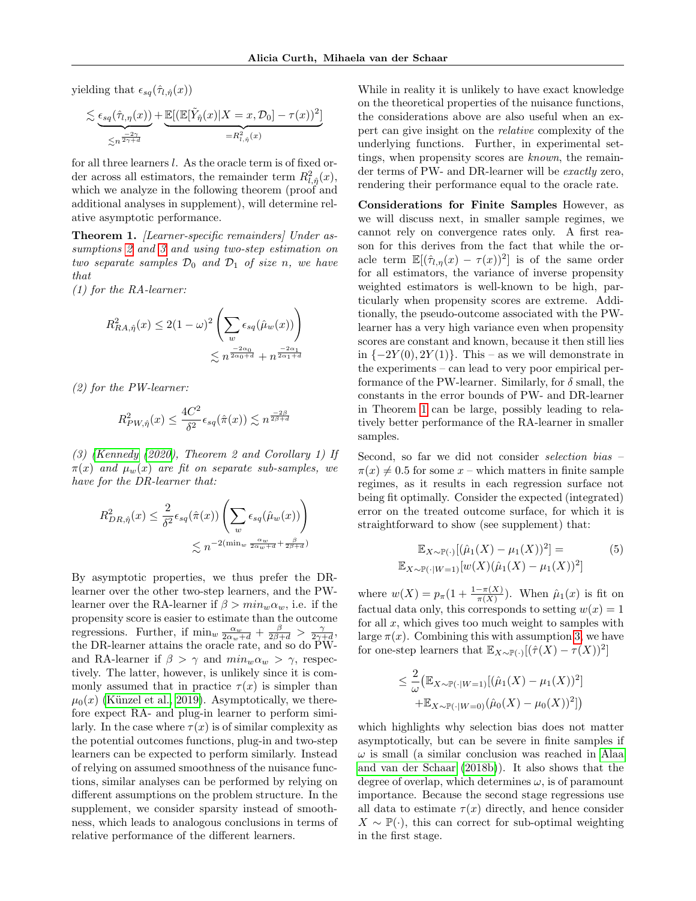yielding that  $\epsilon_{sq}(\hat{\tau}_{l,\hat{\eta}}(x))$ 

$$
\lesssim \underbrace{\epsilon_{sq}(\hat{\tau}_{l,\eta}(x))}_{\leq n^{\frac{-2\gamma}{2\gamma+d}}} + \underbrace{\mathbb{E}[(\mathbb{E}[\tilde{Y}_{\hat{\eta}}(x)|X=x, \mathcal{D}_0] - \tau(x))^2]}_{=R_{l,\hat{\eta}}^2(x)}
$$

for all three learners  $l$ . As the oracle term is of fixed order across all estimators, the remainder term  $R^2_{l,\hat{\eta}}(x)$ , which we analyze in the following theorem (proof and additional analyses in supplement), will determine relative asymptotic performance.

<span id="page-4-0"></span>Theorem 1. *[Learner-specific remainders] Under as-*sumptions [2](#page-3-1) and [3](#page-3-0) and using two-step estimation on two separate samples  $\mathcal{D}_0$  and  $\mathcal{D}_1$  of size n, we have that

(1) for the RA-learner:

$$
R_{RA,\hat{\eta}}^2(x) \le 2(1-\omega)^2 \left(\sum_w \epsilon_{sq}(\hat{\mu}_w(x))\right)
$$
  

$$
\le n^{\frac{-2\alpha_0}{2\alpha_0+d}} + n^{\frac{-2\alpha_1}{2\alpha_1+d}}
$$

(2) for the PW-learner:

$$
R_{PW,\hat{\eta}}^2(x) \le \frac{4C^2}{\delta^2} \epsilon_{sq}(\hat{\pi}(x)) \lesssim n^{\frac{-2\beta}{2\beta+d}}
$$

(3) [\(Kennedy](#page-9-4) [\(2020\)](#page-9-4), Theorem 2 and Corollary 1) If  $\pi(x)$  and  $\mu_w(x)$  are fit on separate sub-samples, we have for the DR-learner that:

$$
R_{DR,\hat{\eta}}^2(x) \le \frac{2}{\delta^2} \epsilon_{sq}(\hat{\pi}(x)) \left( \sum_w \epsilon_{sq}(\hat{\mu}_w(x)) \right)
$$
  

$$
\le n^{-2(\min_w \frac{\alpha_w}{2\alpha_w + d} + \frac{\beta}{2\beta + d})}
$$

By asymptotic properties, we thus prefer the DRlearner over the other two-step learners, and the PWlearner over the RA-learner if  $\beta > min_w \alpha_w$ , i.e. if the propensity score is easier to estimate than the outcome regressions. Further, if  $\min_w \frac{\alpha_w}{2\alpha_w + d} + \frac{\beta}{2\beta + d} > \frac{\gamma}{2\gamma + d}$ , the DR-learner attains the oracle rate, and so do PWand RA-learner if  $\beta > \gamma$  and  $min_w \alpha_w > \gamma$ , respectively. The latter, however, is unlikely since it is commonly assumed that in practice  $\tau(x)$  is simpler than  $\mu_0(x)$  (Künzel et al., 2019). Asymptotically, we therefore expect RA- and plug-in learner to perform similarly. In the case where  $\tau(x)$  is of similar complexity as the potential outcomes functions, plug-in and two-step learners can be expected to perform similarly. Instead of relying on assumed smoothness of the nuisance functions, similar analyses can be performed by relying on different assumptions on the problem structure. In the supplement, we consider sparsity instead of smoothness, which leads to analogous conclusions in terms of relative performance of the different learners.

While in reality it is unlikely to have exact knowledge on the theoretical properties of the nuisance functions, the considerations above are also useful when an expert can give insight on the relative complexity of the underlying functions. Further, in experimental settings, when propensity scores are known, the remainder terms of PW- and DR-learner will be exactly zero, rendering their performance equal to the oracle rate.

Considerations for Finite Samples However, as we will discuss next, in smaller sample regimes, we cannot rely on convergence rates only. A first reason for this derives from the fact that while the oracle term  $\mathbb{E}[(\hat{\tau}_{l,\eta}(x)-\tau(x))^2]$  is of the same order for all estimators, the variance of inverse propensity weighted estimators is well-known to be high, particularly when propensity scores are extreme. Additionally, the pseudo-outcome associated with the PWlearner has a very high variance even when propensity scores are constant and known, because it then still lies in  $\{-2Y(0), 2Y(1)\}.$  This – as we will demonstrate in the experiments – can lead to very poor empirical performance of the PW-learner. Similarly, for  $\delta$  small, the constants in the error bounds of PW- and DR-learner in Theorem [1](#page-4-0) can be large, possibly leading to relatively better performance of the RA-learner in smaller samples.

Second, so far we did not consider selection bias –  $\pi(x) \neq 0.5$  for some x – which matters in finite sample regimes, as it results in each regression surface not being fit optimally. Consider the expected (integrated) error on the treated outcome surface, for which it is straightforward to show (see supplement) that:

$$
\mathbb{E}_{X \sim \mathbb{P}(\cdot)} [(\hat{\mu}_1(X) - \mu_1(X))^2] =
$$
\n
$$
\mathbb{E}_{X \sim \mathbb{P}(\cdot|W=1)} [w(X)(\hat{\mu}_1(X) - \mu_1(X))^2]
$$
\n(5)

where  $w(X) = p_{\pi}(1 + \frac{1 - \pi(X)}{\pi(X)})$ . When  $\hat{\mu}_1(x)$  is fit on factual data only, this corresponds to setting  $w(x) = 1$ for all  $x$ , which gives too much weight to samples with large  $\pi(x)$ . Combining this with assumption [3,](#page-3-0) we have for one-step learners that  $\mathbb{E}_{X \sim \mathbb{P}(\cdot)}[(\hat{\tau}(X) - \tau(X))^2]$ 

$$
\leq \frac{2}{\omega} \left( \mathbb{E}_{X \sim \mathbb{P}(\cdot | W = 1)} [(\hat{\mu}_1(X) - \mu_1(X))^2] + \mathbb{E}_{X \sim \mathbb{P}(\cdot | W = 0)} (\hat{\mu}_0(X) - \mu_0(X))^2] \right)
$$

which highlights why selection bias does not matter asymptotically, but can be severe in finite samples if  $\omega$  is small (a similar conclusion was reached in [Alaa](#page-9-6) [and van der Schaar](#page-9-6) [\(2018b\)](#page-9-6)). It also shows that the degree of overlap, which determines  $\omega$ , is of paramount importance. Because the second stage regressions use all data to estimate  $\tau(x)$  directly, and hence consider  $X \sim \mathbb{P}(\cdot)$ , this can correct for sub-optimal weighting in the first stage.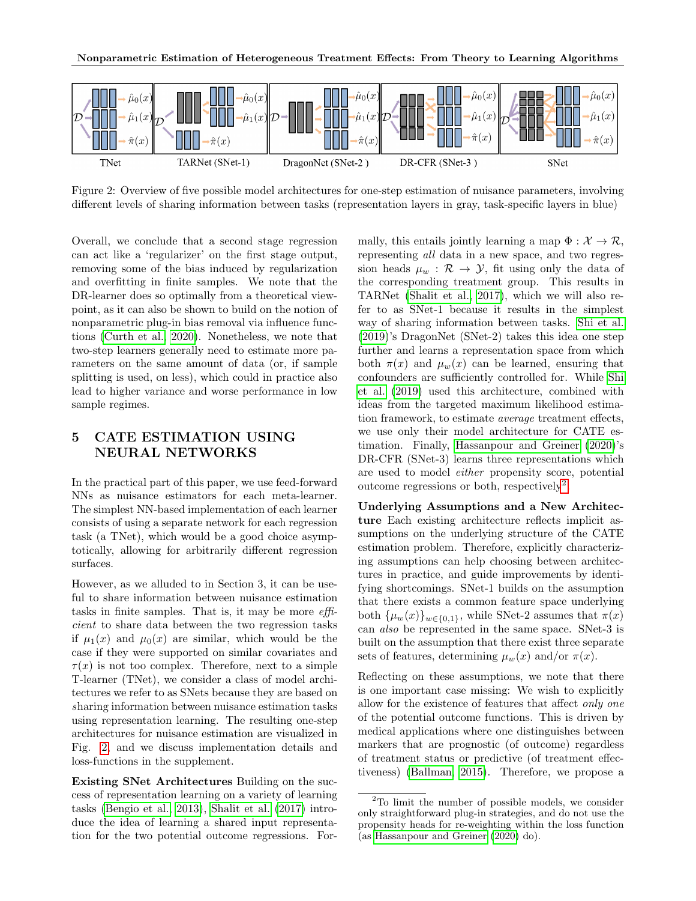

<span id="page-5-1"></span>Figure 2: Overview of five possible model architectures for one-step estimation of nuisance parameters, involving different levels of sharing information between tasks (representation layers in gray, task-specific layers in blue)

Overall, we conclude that a second stage regression can act like a 'regularizer' on the first stage output, removing some of the bias induced by regularization and overfitting in finite samples. We note that the DR-learner does so optimally from a theoretical viewpoint, as it can also be shown to build on the notion of nonparametric plug-in bias removal via influence functions [\(Curth et al., 2020\)](#page-9-17). Nonetheless, we note that two-step learners generally need to estimate more parameters on the same amount of data (or, if sample splitting is used, on less), which could in practice also lead to higher variance and worse performance in low sample regimes.

# <span id="page-5-0"></span>5 CATE ESTIMATION USING NEURAL NETWORKS

In the practical part of this paper, we use feed-forward NNs as nuisance estimators for each meta-learner. The simplest NN-based implementation of each learner consists of using a separate network for each regression task (a TNet), which would be a good choice asymptotically, allowing for arbitrarily different regression surfaces.

However, as we alluded to in Section 3, it can be useful to share information between nuisance estimation tasks in finite samples. That is, it may be more efficient to share data between the two regression tasks if  $\mu_1(x)$  and  $\mu_0(x)$  are similar, which would be the case if they were supported on similar covariates and  $\tau(x)$  is not too complex. Therefore, next to a simple T-learner (TNet), we consider a class of model architectures we refer to as SNets because they are based on sharing information between nuisance estimation tasks using representation learning. The resulting one-step architectures for nuisance estimation are visualized in Fig. [2,](#page-5-1) and we discuss implementation details and loss-functions in the supplement.

Existing SNet Architectures Building on the success of representation learning on a variety of learning tasks [\(Bengio et al., 2013\)](#page-9-9), [Shalit et al.](#page-10-5) [\(2017\)](#page-10-5) introduce the idea of learning a shared input representation for the two potential outcome regressions. Formally, this entails jointly learning a map  $\Phi : \mathcal{X} \to \mathcal{R}$ , representing all data in a new space, and two regression heads  $\mu_w : \mathcal{R} \to \mathcal{Y}$ , fit using only the data of the corresponding treatment group. This results in TARNet [\(Shalit et al., 2017\)](#page-10-5), which we will also refer to as SNet-1 because it results in the simplest way of sharing information between tasks. [Shi et al.](#page-10-6) [\(2019\)](#page-10-6)'s DragonNet (SNet-2) takes this idea one step further and learns a representation space from which both  $\pi(x)$  and  $\mu_w(x)$  can be learned, ensuring that confounders are sufficiently controlled for. While [Shi](#page-10-6) [et al.](#page-10-6) [\(2019\)](#page-10-6) used this architecture, combined with ideas from the targeted maximum likelihood estimation framework, to estimate average treatment effects, we use only their model architecture for CATE estimation. Finally, [Hassanpour and Greiner](#page-9-8) [\(2020\)](#page-9-8)'s DR-CFR (SNet-3) learns three representations which are used to model either propensity score, potential outcome regressions or both, respectively<sup>[2](#page-5-2)</sup>.

Underlying Assumptions and a New Architecture Each existing architecture reflects implicit assumptions on the underlying structure of the CATE estimation problem. Therefore, explicitly characterizing assumptions can help choosing between architectures in practice, and guide improvements by identifying shortcomings. SNet-1 builds on the assumption that there exists a common feature space underlying both  $\{\mu_w(x)\}_{w\in\{0,1\}}$ , while SNet-2 assumes that  $\pi(x)$ can also be represented in the same space. SNet-3 is built on the assumption that there exist three separate sets of features, determining  $\mu_w(x)$  and/or  $\pi(x)$ .

Reflecting on these assumptions, we note that there is one important case missing: We wish to explicitly allow for the existence of features that affect only one of the potential outcome functions. This is driven by medical applications where one distinguishes between markers that are prognostic (of outcome) regardless of treatment status or predictive (of treatment effectiveness) [\(Ballman, 2015\)](#page-9-18). Therefore, we propose a

<span id="page-5-2"></span><sup>2</sup>To limit the number of possible models, we consider only straightforward plug-in strategies, and do not use the propensity heads for re-weighting within the loss function (as [Hassanpour and Greiner](#page-9-8) [\(2020\)](#page-9-8) do).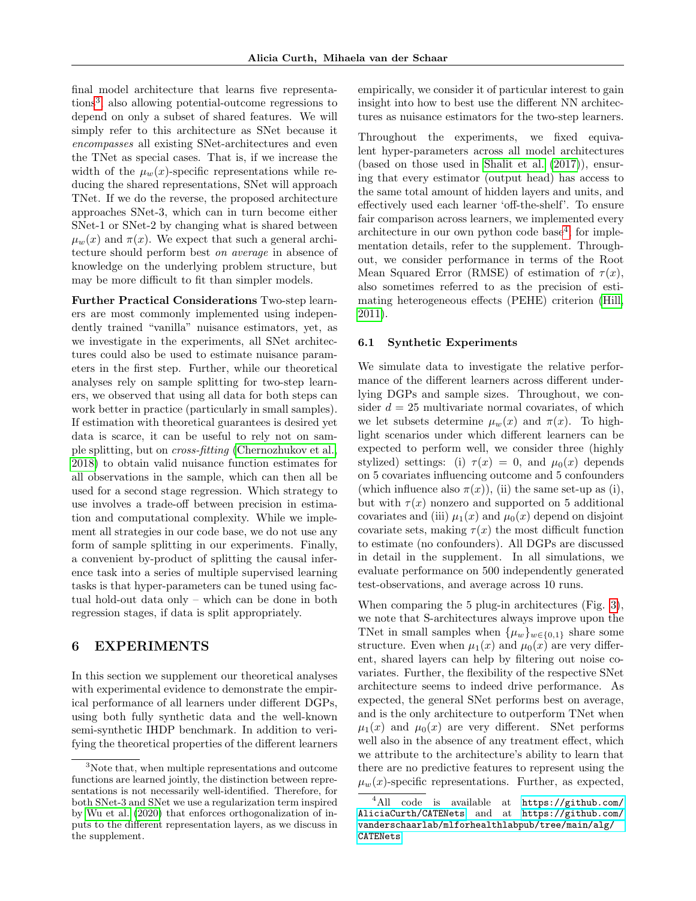final model architecture that learns five representations[3](#page-6-0) , also allowing potential-outcome regressions to depend on only a subset of shared features. We will simply refer to this architecture as SNet because it encompasses all existing SNet-architectures and even the TNet as special cases. That is, if we increase the width of the  $\mu_w(x)$ -specific representations while reducing the shared representations, SNet will approach TNet. If we do the reverse, the proposed architecture approaches SNet-3, which can in turn become either SNet-1 or SNet-2 by changing what is shared between  $\mu_w(x)$  and  $\pi(x)$ . We expect that such a general architecture should perform best on average in absence of knowledge on the underlying problem structure, but may be more difficult to fit than simpler models.

Further Practical Considerations Two-step learners are most commonly implemented using independently trained "vanilla" nuisance estimators, yet, as we investigate in the experiments, all SNet architectures could also be used to estimate nuisance parameters in the first step. Further, while our theoretical analyses rely on sample splitting for two-step learners, we observed that using all data for both steps can work better in practice (particularly in small samples). If estimation with theoretical guarantees is desired yet data is scarce, it can be useful to rely not on sample splitting, but on cross-fitting [\(Chernozhukov et al.,](#page-9-19) [2018\)](#page-9-19) to obtain valid nuisance function estimates for all observations in the sample, which can then all be used for a second stage regression. Which strategy to use involves a trade-off between precision in estimation and computational complexity. While we implement all strategies in our code base, we do not use any form of sample splitting in our experiments. Finally, a convenient by-product of splitting the causal inference task into a series of multiple supervised learning tasks is that hyper-parameters can be tuned using factual hold-out data only – which can be done in both regression stages, if data is split appropriately.

# 6 EXPERIMENTS

In this section we supplement our theoretical analyses with experimental evidence to demonstrate the empirical performance of all learners under different DGPs, using both fully synthetic data and the well-known semi-synthetic IHDP benchmark. In addition to verifying the theoretical properties of the different learners empirically, we consider it of particular interest to gain insight into how to best use the different NN architectures as nuisance estimators for the two-step learners.

Throughout the experiments, we fixed equivalent hyper-parameters across all model architectures (based on those used in [Shalit et al.](#page-10-5) [\(2017\)](#page-10-5)), ensuring that every estimator (output head) has access to the same total amount of hidden layers and units, and effectively used each learner 'off-the-shelf'. To ensure fair comparison across learners, we implemented every architecture in our own python code base<sup>[4](#page-6-1)</sup>; for implementation details, refer to the supplement. Throughout, we consider performance in terms of the Root Mean Squared Error (RMSE) of estimation of  $\tau(x)$ , also sometimes referred to as the precision of estimating heterogeneous effects (PEHE) criterion [\(Hill,](#page-9-11) [2011\)](#page-9-11).

#### 6.1 Synthetic Experiments

We simulate data to investigate the relative performance of the different learners across different underlying DGPs and sample sizes. Throughout, we consider  $d = 25$  multivariate normal covariates, of which we let subsets determine  $\mu_w(x)$  and  $\pi(x)$ . To highlight scenarios under which different learners can be expected to perform well, we consider three (highly stylized) settings: (i)  $\tau(x) = 0$ , and  $\mu_0(x)$  depends on 5 covariates influencing outcome and 5 confounders (which influence also  $\pi(x)$ ), (ii) the same set-up as (i), but with  $\tau(x)$  nonzero and supported on 5 additional covariates and (iii)  $\mu_1(x)$  and  $\mu_0(x)$  depend on disjoint covariate sets, making  $\tau(x)$  the most difficult function to estimate (no confounders). All DGPs are discussed in detail in the supplement. In all simulations, we evaluate performance on 500 independently generated test-observations, and average across 10 runs.

When comparing the 5 plug-in architectures (Fig. [3\)](#page-7-0), we note that S-architectures always improve upon the TNet in small samples when  $\{\mu_w\}_{w \in \{0,1\}}$  share some structure. Even when  $\mu_1(x)$  and  $\mu_0(x)$  are very different, shared layers can help by filtering out noise covariates. Further, the flexibility of the respective SNet architecture seems to indeed drive performance. As expected, the general SNet performs best on average, and is the only architecture to outperform TNet when  $\mu_1(x)$  and  $\mu_0(x)$  are very different. SNet performs well also in the absence of any treatment effect, which we attribute to the architecture's ability to learn that there are no predictive features to represent using the  $\mu_w(x)$ -specific representations. Further, as expected,

<span id="page-6-0"></span><sup>3</sup>Note that, when multiple representations and outcome functions are learned jointly, the distinction between representations is not necessarily well-identified. Therefore, for both SNet-3 and SNet we use a regularization term inspired by [Wu et al.](#page-10-11) [\(2020\)](#page-10-11) that enforces orthogonalization of inputs to the different representation layers, as we discuss in the supplement.

<span id="page-6-1"></span><sup>4</sup>All code is available at [https://github.com/](https://github.com/AliciaCurth/CATENets) [AliciaCurth/CATENets](https://github.com/AliciaCurth/CATENets) and at [https://github.com/](https://github.com/vanderschaarlab/mlforhealthlabpub/tree/main/alg/CATENets) [vanderschaarlab/mlforhealthlabpub/tree/main/alg/](https://github.com/vanderschaarlab/mlforhealthlabpub/tree/main/alg/CATENets) [CATENets](https://github.com/vanderschaarlab/mlforhealthlabpub/tree/main/alg/CATENets)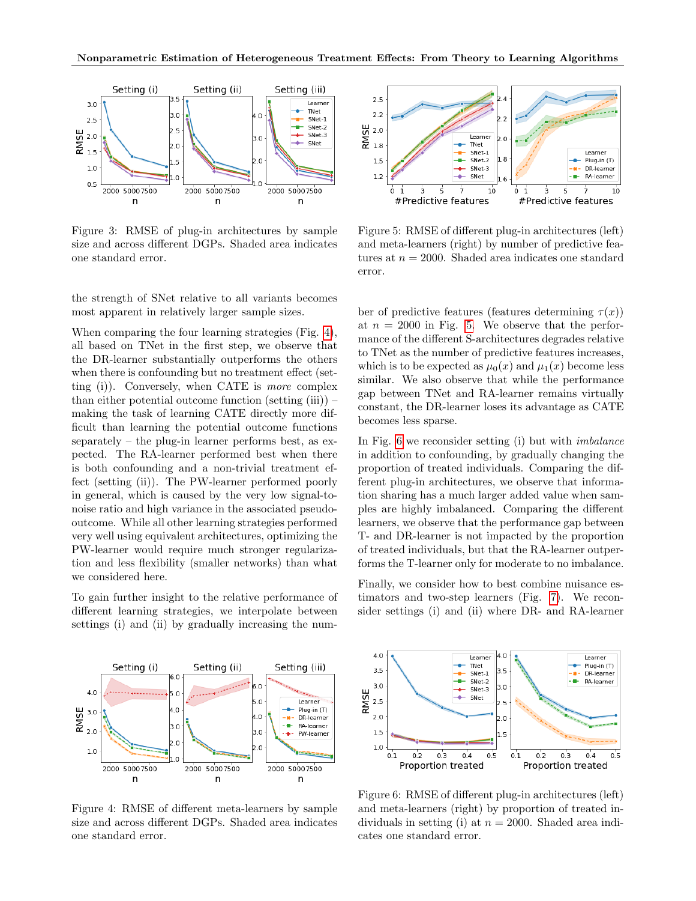

<span id="page-7-0"></span>Figure 3: RMSE of plug-in architectures by sample size and across different DGPs. Shaded area indicates one standard error.

the strength of SNet relative to all variants becomes most apparent in relatively larger sample sizes.

When comparing the four learning strategies (Fig. [4\)](#page-7-1), all based on TNet in the first step, we observe that the DR-learner substantially outperforms the others when there is confounding but no treatment effect (setting (i)). Conversely, when CATE is more complex than either potential outcome function (setting  $(iii)$ ) – making the task of learning CATE directly more difficult than learning the potential outcome functions separately – the plug-in learner performs best, as expected. The RA-learner performed best when there is both confounding and a non-trivial treatment effect (setting (ii)). The PW-learner performed poorly in general, which is caused by the very low signal-tonoise ratio and high variance in the associated pseudooutcome. While all other learning strategies performed very well using equivalent architectures, optimizing the PW-learner would require much stronger regularization and less flexibility (smaller networks) than what we considered here.

To gain further insight to the relative performance of different learning strategies, we interpolate between settings (i) and (ii) by gradually increasing the num-



<span id="page-7-2"></span>Figure 5: RMSE of different plug-in architectures (left) and meta-learners (right) by number of predictive features at  $n = 2000$ . Shaded area indicates one standard error.

ber of predictive features (features determining  $\tau(x)$ ) at  $n = 2000$  in Fig. [5.](#page-7-2) We observe that the performance of the different S-architectures degrades relative to TNet as the number of predictive features increases, which is to be expected as  $\mu_0(x)$  and  $\mu_1(x)$  become less similar. We also observe that while the performance gap between TNet and RA-learner remains virtually constant, the DR-learner loses its advantage as CATE becomes less sparse.

In Fig. [6](#page-7-3) we reconsider setting (i) but with *imbalance* in addition to confounding, by gradually changing the proportion of treated individuals. Comparing the different plug-in architectures, we observe that information sharing has a much larger added value when samples are highly imbalanced. Comparing the different learners, we observe that the performance gap between T- and DR-learner is not impacted by the proportion of treated individuals, but that the RA-learner outperforms the T-learner only for moderate to no imbalance.

Finally, we consider how to best combine nuisance estimators and two-step learners (Fig. [7\)](#page-8-0). We reconsider settings (i) and (ii) where DR- and RA-learner



<span id="page-7-1"></span>Figure 4: RMSE of different meta-learners by sample size and across different DGPs. Shaded area indicates one standard error.



<span id="page-7-3"></span>Figure 6: RMSE of different plug-in architectures (left) and meta-learners (right) by proportion of treated individuals in setting (i) at  $n = 2000$ . Shaded area indicates one standard error.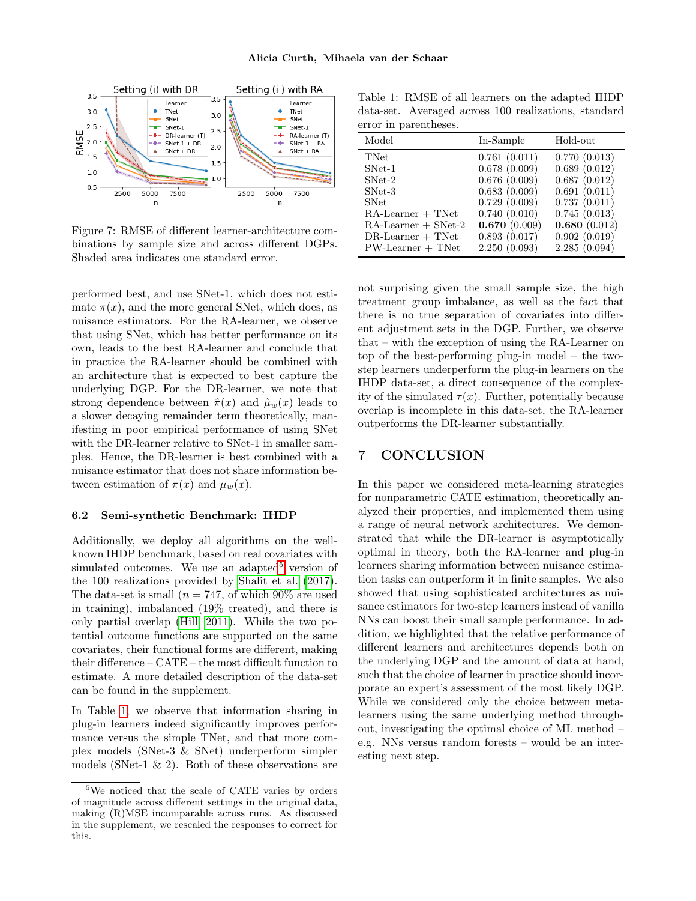

<span id="page-8-0"></span>Figure 7: RMSE of different learner-architecture combinations by sample size and across different DGPs. Shaded area indicates one standard error.

performed best, and use SNet-1, which does not estimate  $\pi(x)$ , and the more general SNet, which does, as nuisance estimators. For the RA-learner, we observe that using SNet, which has better performance on its own, leads to the best RA-learner and conclude that in practice the RA-learner should be combined with an architecture that is expected to best capture the underlying DGP. For the DR-learner, we note that strong dependence between  $\hat{\pi}(x)$  and  $\hat{\mu}_w(x)$  leads to a slower decaying remainder term theoretically, manifesting in poor empirical performance of using SNet with the DR-learner relative to SNet-1 in smaller samples. Hence, the DR-learner is best combined with a nuisance estimator that does not share information between estimation of  $\pi(x)$  and  $\mu_w(x)$ .

#### 6.2 Semi-synthetic Benchmark: IHDP

Additionally, we deploy all algorithms on the wellknown IHDP benchmark, based on real covariates with simulated outcomes. We use an adapted<sup>[5](#page-8-1)</sup> version of the 100 realizations provided by [Shalit et al.](#page-10-5) [\(2017\)](#page-10-5). The data-set is small ( $n = 747$ , of which 90% are used in training), imbalanced (19% treated), and there is only partial overlap [\(Hill, 2011\)](#page-9-11). While the two potential outcome functions are supported on the same covariates, their functional forms are different, making their difference – CATE – the most difficult function to estimate. A more detailed description of the data-set can be found in the supplement.

In Table [1,](#page-8-2) we observe that information sharing in plug-in learners indeed significantly improves performance versus the simple TNet, and that more complex models (SNet-3 & SNet) underperform simpler models (SNet-1  $\&$  2). Both of these observations are

<span id="page-8-2"></span>Table 1: RMSE of all learners on the adapted IHDP data-set. Averaged across 100 realizations, standard error in parentheses.

| 0.761(0.011)<br><b>TNet</b><br>0.678(0.009)<br>SNet-1<br>0.676(0.009)<br>$SNet-2$<br>0.683(0.009)<br>$SNet-3$<br>0.729(0.009)<br><b>SNet</b>                         | Hold-out                                                                                                                                     |
|----------------------------------------------------------------------------------------------------------------------------------------------------------------------|----------------------------------------------------------------------------------------------------------------------------------------------|
| 0.740(0.010)<br>$RA$ -Learner + TNet<br>0.670(0.009)<br>$RA$ -Learner + SNet-2<br>0.893(0.017)<br>$DR$ -Learner + TNet<br>2.250(0.093)<br>$PW\text{-}Learner + TNet$ | 0.770(0.013)<br>0.689(0.012)<br>0.687(0.012)<br>0.691(0.011)<br>0.737(0.011)<br>0.745(0.013)<br>0.680(0.012)<br>0.902(0.019)<br>2.285(0.094) |

not surprising given the small sample size, the high treatment group imbalance, as well as the fact that there is no true separation of covariates into different adjustment sets in the DGP. Further, we observe that – with the exception of using the RA-Learner on top of the best-performing plug-in model – the twostep learners underperform the plug-in learners on the IHDP data-set, a direct consequence of the complexity of the simulated  $\tau(x)$ . Further, potentially because overlap is incomplete in this data-set, the RA-learner outperforms the DR-learner substantially.

# 7 CONCLUSION

In this paper we considered meta-learning strategies for nonparametric CATE estimation, theoretically analyzed their properties, and implemented them using a range of neural network architectures. We demonstrated that while the DR-learner is asymptotically optimal in theory, both the RA-learner and plug-in learners sharing information between nuisance estimation tasks can outperform it in finite samples. We also showed that using sophisticated architectures as nuisance estimators for two-step learners instead of vanilla NNs can boost their small sample performance. In addition, we highlighted that the relative performance of different learners and architectures depends both on the underlying DGP and the amount of data at hand, such that the choice of learner in practice should incorporate an expert's assessment of the most likely DGP. While we considered only the choice between metalearners using the same underlying method throughout, investigating the optimal choice of ML method – e.g. NNs versus random forests – would be an interesting next step.

<span id="page-8-1"></span><sup>&</sup>lt;sup>5</sup>We noticed that the scale of CATE varies by orders of magnitude across different settings in the original data, making (R)MSE incomparable across runs. As discussed in the supplement, we rescaled the responses to correct for this.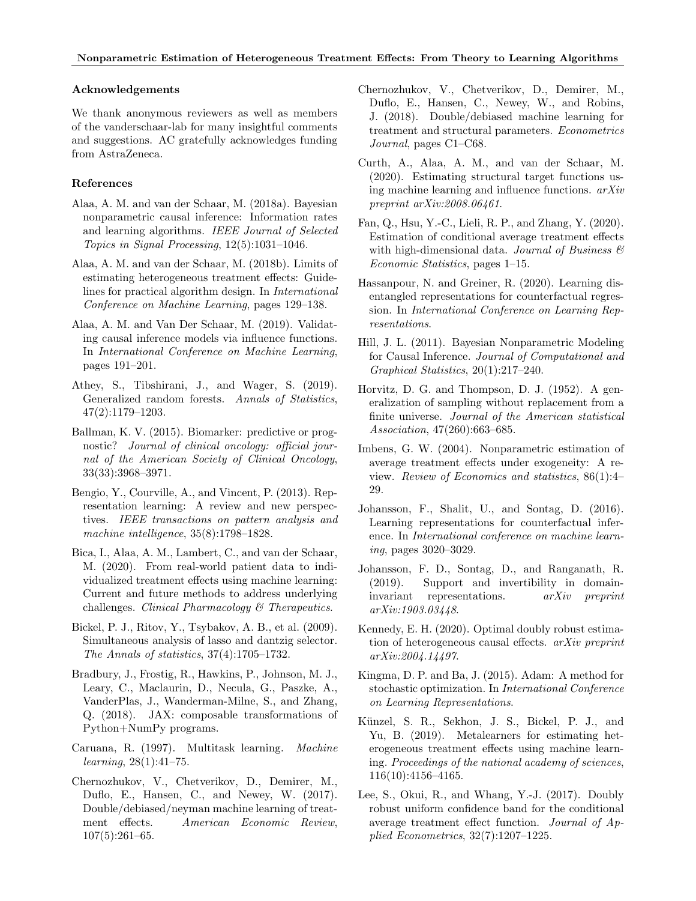#### Acknowledgements

We thank anonymous reviewers as well as members of the vanderschaar-lab for many insightful comments and suggestions. AC gratefully acknowledges funding from AstraZeneca.

### References

- <span id="page-9-5"></span>Alaa, A. M. and van der Schaar, M. (2018a). Bayesian nonparametric causal inference: Information rates and learning algorithms. IEEE Journal of Selected Topics in Signal Processing, 12(5):1031–1046.
- <span id="page-9-6"></span>Alaa, A. M. and van der Schaar, M. (2018b). Limits of estimating heterogeneous treatment effects: Guidelines for practical algorithm design. In International Conference on Machine Learning, pages 129–138.
- <span id="page-9-2"></span>Alaa, A. M. and Van Der Schaar, M. (2019). Validating causal inference models via influence functions. In International Conference on Machine Learning, pages 191–201.
- <span id="page-9-12"></span>Athey, S., Tibshirani, J., and Wager, S. (2019). Generalized random forests. Annals of Statistics, 47(2):1179–1203.
- <span id="page-9-18"></span>Ballman, K. V. (2015). Biomarker: predictive or prognostic? Journal of clinical oncology: official journal of the American Society of Clinical Oncology, 33(33):3968–3971.
- <span id="page-9-9"></span>Bengio, Y., Courville, A., and Vincent, P. (2013). Representation learning: A review and new perspectives. IEEE transactions on pattern analysis and machine intelligence, 35(8):1798–1828.
- <span id="page-9-1"></span>Bica, I., Alaa, A. M., Lambert, C., and van der Schaar, M. (2020). From real-world patient data to individualized treatment effects using machine learning: Current and future methods to address underlying challenges. Clinical Pharmacology & Therapeutics.
- <span id="page-9-20"></span>Bickel, P. J., Ritov, Y., Tsybakov, A. B., et al. (2009). Simultaneous analysis of lasso and dantzig selector. The Annals of statistics, 37(4):1705–1732.
- <span id="page-9-23"></span>Bradbury, J., Frostig, R., Hawkins, P., Johnson, M. J., Leary, C., Maclaurin, D., Necula, G., Paszke, A., VanderPlas, J., Wanderman-Milne, S., and Zhang, Q. (2018). JAX: composable transformations of Python+NumPy programs.
- <span id="page-9-10"></span>Caruana, R. (1997). Multitask learning. Machine learning, 28(1):41–75.
- <span id="page-9-0"></span>Chernozhukov, V., Chetverikov, D., Demirer, M., Duflo, E., Hansen, C., and Newey, W. (2017). Double/debiased/neyman machine learning of treatment effects. American Economic Review, 107(5):261–65.
- <span id="page-9-19"></span>Chernozhukov, V., Chetverikov, D., Demirer, M., Duflo, E., Hansen, C., Newey, W., and Robins, J. (2018). Double/debiased machine learning for treatment and structural parameters. Econometrics Journal, pages C1–C68.
- <span id="page-9-17"></span>Curth, A., Alaa, A. M., and van der Schaar, M. (2020). Estimating structural target functions using machine learning and influence functions. arXiv preprint arXiv:2008.06461.
- <span id="page-9-16"></span>Fan, Q., Hsu, Y.-C., Lieli, R. P., and Zhang, Y. (2020). Estimation of conditional average treatment effects with high-dimensional data. Journal of Business  $\mathcal C$ Economic Statistics, pages 1–15.
- <span id="page-9-8"></span>Hassanpour, N. and Greiner, R. (2020). Learning disentangled representations for counterfactual regression. In International Conference on Learning Representations.
- <span id="page-9-11"></span>Hill, J. L. (2011). Bayesian Nonparametric Modeling for Causal Inference. Journal of Computational and Graphical Statistics, 20(1):217–240.
- <span id="page-9-14"></span>Horvitz, D. G. and Thompson, D. J. (1952). A generalization of sampling without replacement from a finite universe. Journal of the American statistical Association, 47(260):663–685.
- <span id="page-9-13"></span>Imbens, G. W. (2004). Nonparametric estimation of average treatment effects under exogeneity: A review. Review of Economics and statistics, 86(1):4– 29.
- <span id="page-9-7"></span>Johansson, F., Shalit, U., and Sontag, D. (2016). Learning representations for counterfactual inference. In International conference on machine learning, pages 3020–3029.
- <span id="page-9-21"></span>Johansson, F. D., Sontag, D., and Ranganath, R. (2019). Support and invertibility in domaininvariant representations. arXiv preprint arXiv:1903.03448.
- <span id="page-9-4"></span>Kennedy, E. H. (2020). Optimal doubly robust estimation of heterogeneous causal effects. arXiv preprint arXiv:2004.14497.
- <span id="page-9-22"></span>Kingma, D. P. and Ba, J. (2015). Adam: A method for stochastic optimization. In International Conference on Learning Representations.
- <span id="page-9-3"></span>Künzel, S. R., Sekhon, J. S., Bickel, P. J., and Yu, B. (2019). Metalearners for estimating heterogeneous treatment effects using machine learning. Proceedings of the national academy of sciences, 116(10):4156–4165.
- <span id="page-9-15"></span>Lee, S., Okui, R., and Whang, Y.-J. (2017). Doubly robust uniform confidence band for the conditional average treatment effect function. Journal of Applied Econometrics, 32(7):1207–1225.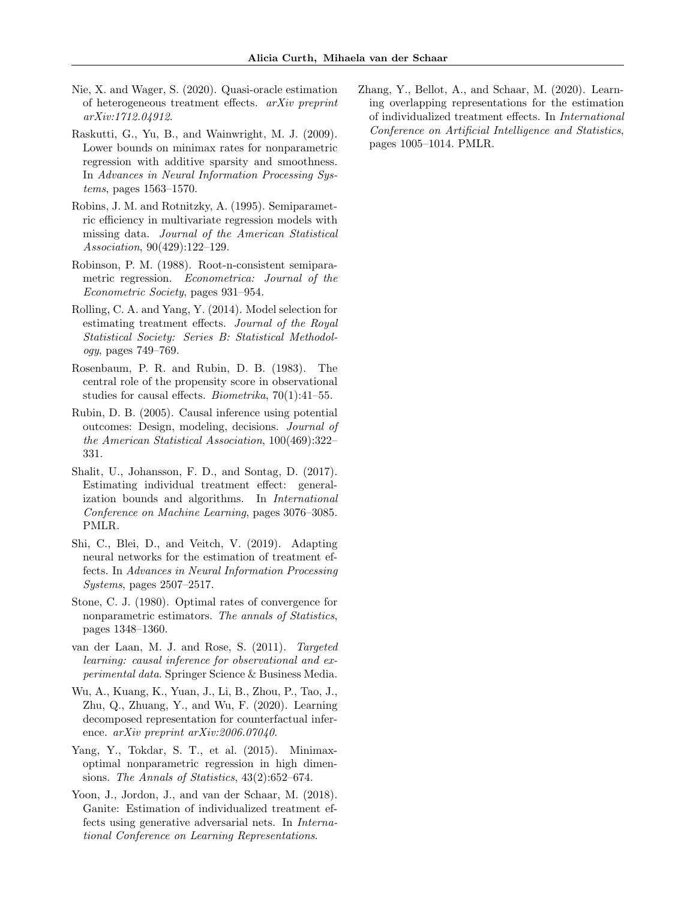- <span id="page-10-2"></span>Nie, X. and Wager, S. (2020). Quasi-oracle estimation of heterogeneous treatment effects. arXiv preprint arXiv:1712.04912.
- <span id="page-10-13"></span>Raskutti, G., Yu, B., and Wainwright, M. J. (2009). Lower bounds on minimax rates for nonparametric regression with additive sparsity and smoothness. In Advances in Neural Information Processing Systems, pages 1563–1570.
- <span id="page-10-4"></span>Robins, J. M. and Rotnitzky, A. (1995). Semiparametric efficiency in multivariate regression models with missing data. Journal of the American Statistical Association, 90(429):122–129.
- <span id="page-10-3"></span>Robinson, P. M. (1988). Root-n-consistent semiparametric regression. Econometrica: Journal of the Econometric Society, pages 931–954.
- <span id="page-10-1"></span>Rolling, C. A. and Yang, Y. (2014). Model selection for estimating treatment effects. Journal of the Royal Statistical Society: Series B: Statistical Methodology, pages 749–769.
- <span id="page-10-14"></span>Rosenbaum, P. R. and Rubin, D. B. (1983). The central role of the propensity score in observational studies for causal effects. Biometrika, 70(1):41–55.
- <span id="page-10-9"></span>Rubin, D. B. (2005). Causal inference using potential outcomes: Design, modeling, decisions. Journal of the American Statistical Association, 100(469):322– 331.
- <span id="page-10-5"></span>Shalit, U., Johansson, F. D., and Sontag, D. (2017). Estimating individual treatment effect: generalization bounds and algorithms. In International Conference on Machine Learning, pages 3076–3085. PMLR.
- <span id="page-10-6"></span>Shi, C., Blei, D., and Veitch, V. (2019). Adapting neural networks for the estimation of treatment effects. In Advances in Neural Information Processing  $S$ *ystems*, pages  $2507-2517$ .
- <span id="page-10-10"></span>Stone, C. J. (1980). Optimal rates of convergence for nonparametric estimators. The annals of Statistics, pages 1348–1360.
- <span id="page-10-0"></span>van der Laan, M. J. and Rose, S. (2011). Targeted learning: causal inference for observational and experimental data. Springer Science & Business Media.
- <span id="page-10-11"></span>Wu, A., Kuang, K., Yuan, J., Li, B., Zhou, P., Tao, J., Zhu, Q., Zhuang, Y., and Wu, F. (2020). Learning decomposed representation for counterfactual inference. arXiv preprint arXiv:2006.07040.
- <span id="page-10-12"></span>Yang, Y., Tokdar, S. T., et al. (2015). Minimaxoptimal nonparametric regression in high dimensions. The Annals of Statistics, 43(2):652–674.
- <span id="page-10-7"></span>Yoon, J., Jordon, J., and van der Schaar, M. (2018). Ganite: Estimation of individualized treatment effects using generative adversarial nets. In International Conference on Learning Representations.

<span id="page-10-8"></span>Zhang, Y., Bellot, A., and Schaar, M. (2020). Learning overlapping representations for the estimation of individualized treatment effects. In International Conference on Artificial Intelligence and Statistics, pages 1005–1014. PMLR.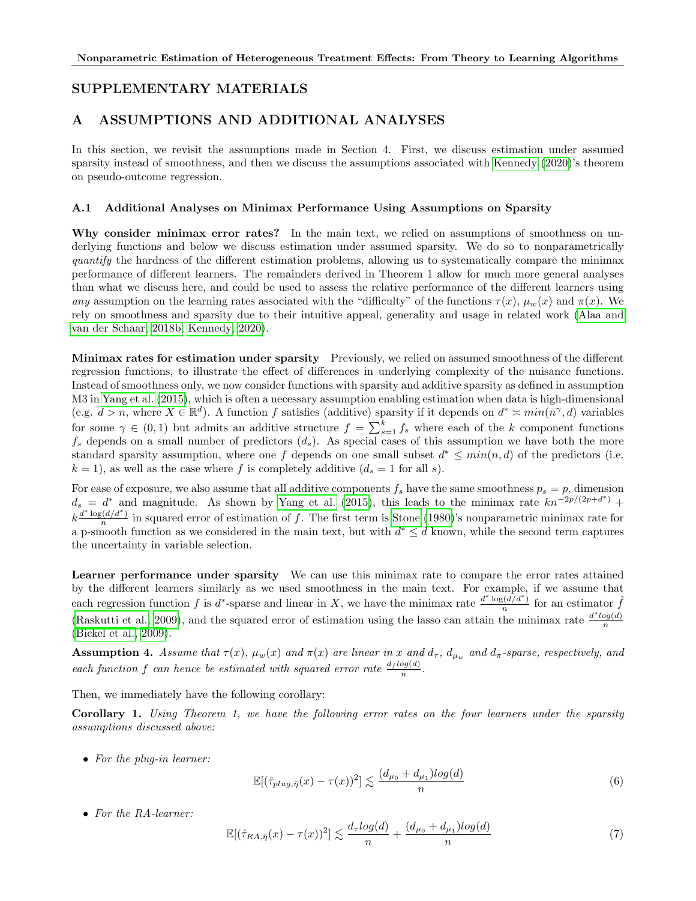# SUPPLEMENTARY MATERIALS

# A ASSUMPTIONS AND ADDITIONAL ANALYSES

In this section, we revisit the assumptions made in Section 4. First, we discuss estimation under assumed sparsity instead of smoothness, and then we discuss the assumptions associated with [Kennedy](#page-9-4) [\(2020\)](#page-9-4)'s theorem on pseudo-outcome regression.

### A.1 Additional Analyses on Minimax Performance Using Assumptions on Sparsity

Why consider minimax error rates? In the main text, we relied on assumptions of smoothness on underlying functions and below we discuss estimation under assumed sparsity. We do so to nonparametrically quantify the hardness of the different estimation problems, allowing us to systematically compare the minimax performance of different learners. The remainders derived in Theorem 1 allow for much more general analyses than what we discuss here, and could be used to assess the relative performance of the different learners using any assumption on the learning rates associated with the "difficulty" of the functions  $\tau(x)$ ,  $\mu_w(x)$  and  $\pi(x)$ . We rely on smoothness and sparsity due to their intuitive appeal, generality and usage in related work [\(Alaa and](#page-9-6) [van der Schaar, 2018b;](#page-9-6) [Kennedy, 2020\)](#page-9-4).

Minimax rates for estimation under sparsity Previously, we relied on assumed smoothness of the different regression functions, to illustrate the effect of differences in underlying complexity of the nuisance functions. Instead of smoothness only, we now consider functions with sparsity and additive sparsity as defined in assumption M3 in [Yang et al.](#page-10-12) [\(2015\)](#page-10-12), which is often a necessary assumption enabling estimation when data is high-dimensional (e.g.  $d > n$ , where  $X \in \mathbb{R}^d$ ). A function f satisfies (additive) sparsity if it depends on  $d^* \approx min(n^{\gamma}, d)$  variables for some  $\gamma \in (0,1)$  but admits an additive structure  $f = \sum_{s=1}^{k} f_s$  where each of the k component functions  $f_s$  depends on a small number of predictors  $(d_s)$ . As special cases of this assumption we have both the more standard sparsity assumption, where one f depends on one small subset  $d^* \leq min(n, d)$  of the predictors (i.e.  $k = 1$ , as well as the case where f is completely additive  $(d_s = 1$  for all s).

For ease of exposure, we also assume that all additive components  $f_s$  have the same smoothness  $p_s = p$ , dimension  $d_s = d^*$  and magnitude. As shown by [Yang et al.](#page-10-12) [\(2015\)](#page-10-12), this leads to the minimax rate  $kn^{-2p/(2p+d^*)}$  +  $k \frac{d^* \log(d/d^*)}{n}$  $\frac{n(nq/q)}{n}$  in squared error of estimation of f. The first term is [Stone](#page-10-10) [\(1980\)](#page-10-10)'s nonparametric minimax rate for a p-smooth function as we considered in the main text, but with  $d^* \leq d$  known, while the second term captures the uncertainty in variable selection.

Learner performance under sparsity We can use this minimax rate to compare the error rates attained by the different learners similarly as we used smoothness in the main text. For example, if we assume that each regression function f is d<sup>\*</sup>-sparse and linear in X, we have the minimax rate  $\frac{d^* \log(\tilde{d}/d^*)}{n}$  $\frac{f_n(d/d^*)}{n}$  for an estimator  $\hat{f}$ [\(Raskutti et al., 2009\)](#page-10-13), and the squared error of estimation using the lasso can attain the minimax rate  $\frac{d^*log(d)}{n}$ n [\(Bickel et al., 2009\)](#page-9-20).

**Assumption 4.** Assume that  $\tau(x)$ ,  $\mu_w(x)$  and  $\pi(x)$  are linear in x and  $d_{\tau}$ ,  $d_{\mu_w}$  and  $d_{\pi}$ -sparse, respectively, and each function f can hence be estimated with squared error rate  $\frac{d_f \log(d)}{n}$ .

Then, we immediately have the following corollary:

Corollary 1. Using Theorem 1, we have the following error rates on the four learners under the sparsity assumptions discussed above:

• For the plug-in learner:

$$
\mathbb{E}[(\hat{\tau}_{plug,\hat{\eta}}(x) - \tau(x))^2] \lesssim \frac{(d_{\mu_0} + d_{\mu_1})log(d)}{n} \tag{6}
$$

• For the RA-learner:

$$
\mathbb{E}[(\hat{\tau}_{RA,\hat{\eta}}(x) - \tau(x))^2] \lesssim \frac{d_\tau \log(d)}{n} + \frac{(d_{\mu_0} + d_{\mu_1}) \log(d)}{n} \tag{7}
$$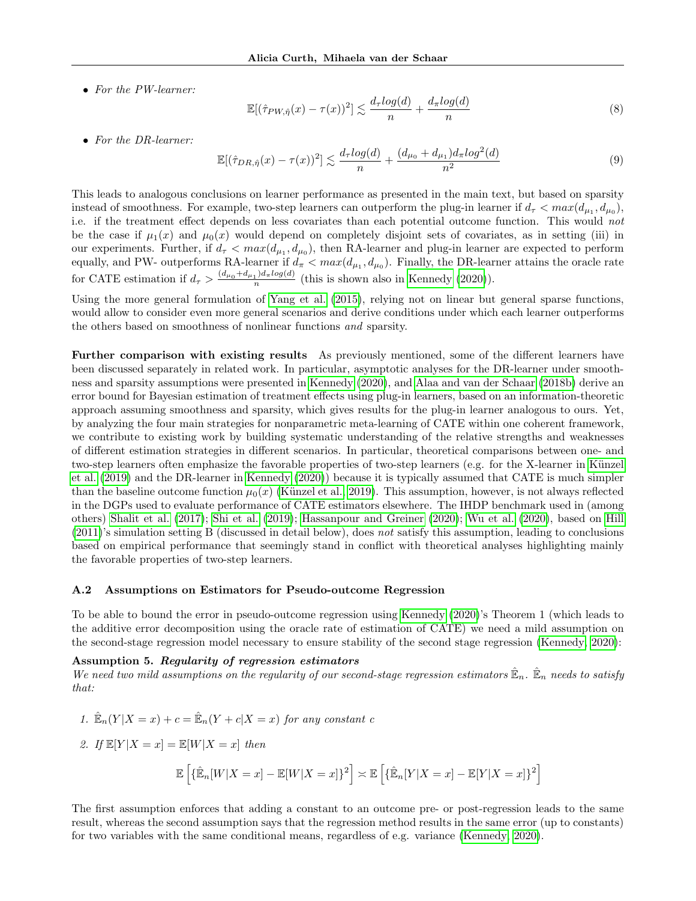• For the PW-learner:

$$
\mathbb{E}[(\hat{\tau}_{PW,\hat{\eta}}(x) - \tau(x))^2] \lesssim \frac{d_\tau \log(d)}{n} + \frac{d_\pi \log(d)}{n} \tag{8}
$$

• For the DR-learner:

$$
\mathbb{E}[(\hat{\tau}_{DR,\hat{\eta}}(x) - \tau(x))^2] \lesssim \frac{d_\tau \log(d)}{n} + \frac{(d_{\mu_0} + d_{\mu_1})d_\pi \log^2(d)}{n^2} \tag{9}
$$

This leads to analogous conclusions on learner performance as presented in the main text, but based on sparsity instead of smoothness. For example, two-step learners can outperform the plug-in learner if  $d_{\tau} < max(d_{\mu_1}, d_{\mu_0}),$ i.e. if the treatment effect depends on less covariates than each potential outcome function. This would not be the case if  $\mu_1(x)$  and  $\mu_0(x)$  would depend on completely disjoint sets of covariates, as in setting (iii) in our experiments. Further, if  $d_{\tau} < max(d_{\mu_1}, d_{\mu_0})$ , then RA-learner and plug-in learner are expected to perform equally, and PW- outperforms RA-learner if  $d_{\pi} < max(d_{\mu_1}, d_{\mu_0})$ . Finally, the DR-learner attains the oracle rate for CATE estimation if  $d_{\tau} > \frac{(d_{\mu_0} + d_{\mu_1})d_{\pi}log(d)}{n}$  $\frac{1}{n}$ <sup>1,*ia* $\pi$ *tog*(*a*)</sub> (this is shown also in [Kennedy](#page-9-4) [\(2020\)](#page-9-4)).</sup>

Using the more general formulation of [Yang et al.](#page-10-12) [\(2015\)](#page-10-12), relying not on linear but general sparse functions, would allow to consider even more general scenarios and derive conditions under which each learner outperforms the others based on smoothness of nonlinear functions and sparsity.

Further comparison with existing results As previously mentioned, some of the different learners have been discussed separately in related work. In particular, asymptotic analyses for the DR-learner under smoothness and sparsity assumptions were presented in [Kennedy](#page-9-4) [\(2020\)](#page-9-4), and [Alaa and van der Schaar](#page-9-6) [\(2018b\)](#page-9-6) derive an error bound for Bayesian estimation of treatment effects using plug-in learners, based on an information-theoretic approach assuming smoothness and sparsity, which gives results for the plug-in learner analogous to ours. Yet, by analyzing the four main strategies for nonparametric meta-learning of CATE within one coherent framework, we contribute to existing work by building systematic understanding of the relative strengths and weaknesses of different estimation strategies in different scenarios. In particular, theoretical comparisons between one- and two-step learners often emphasize the favorable properties of two-step learners (e.g. for the X-learner in Künzel [et al.](#page-9-3) [\(2019\)](#page-9-3) and the DR-learner in [Kennedy](#page-9-4) [\(2020\)](#page-9-4)) because it is typically assumed that CATE is much simpler than the baseline outcome function  $\mu_0(x)$  (Künzel et al., 2019). This assumption, however, is not always reflected in the DGPs used to evaluate performance of CATE estimators elsewhere. The IHDP benchmark used in (among others) [Shalit et al.](#page-10-5) [\(2017\)](#page-10-5); [Shi et al.](#page-10-6) [\(2019\)](#page-10-6); [Hassanpour and Greiner](#page-9-8) [\(2020\)](#page-9-8); [Wu et al.](#page-10-11) [\(2020\)](#page-10-11), based on [Hill](#page-9-11)  $(2011)'$  $(2011)'$ 's simulation setting B (discussed in detail below), does not satisfy this assumption, leading to conclusions based on empirical performance that seemingly stand in conflict with theoretical analyses highlighting mainly the favorable properties of two-step learners.

#### A.2 Assumptions on Estimators for Pseudo-outcome Regression

To be able to bound the error in pseudo-outcome regression using [Kennedy](#page-9-4) [\(2020\)](#page-9-4)'s Theorem 1 (which leads to the additive error decomposition using the oracle rate of estimation of CATE) we need a mild assumption on the second-stage regression model necessary to ensure stability of the second stage regression [\(Kennedy, 2020\)](#page-9-4):

#### Assumption 5. Regularity of regression estimators

We need two mild assumptions on the regularity of our second-stage regression estimators  $\mathbb{E}_n$ .  $\mathbb{E}_n$  needs to satisfy that:

1. 
$$
\hat{\mathbb{E}}_n(Y|X=x) + c = \hat{\mathbb{E}}_n(Y+c|X=x) \text{ for any constant } c
$$
  
2. If 
$$
\mathbb{E}[Y|X=x] = \mathbb{E}[W|X=x] \text{ then}
$$

$$
\mathbb{E}\left[\{\hat{\mathbb{E}}_n[W|X=x] - \mathbb{E}[W|X=x]\}^2\right] \asymp \mathbb{E}\left[\{\hat{\mathbb{E}}_n[Y|X=x] - \mathbb{E}[Y|X=x]\}^2\right]
$$

The first assumption enforces that adding a constant to an outcome pre- or post-regression leads to the same result, whereas the second assumption says that the regression method results in the same error (up to constants) for two variables with the same conditional means, regardless of e.g. variance [\(Kennedy, 2020\)](#page-9-4).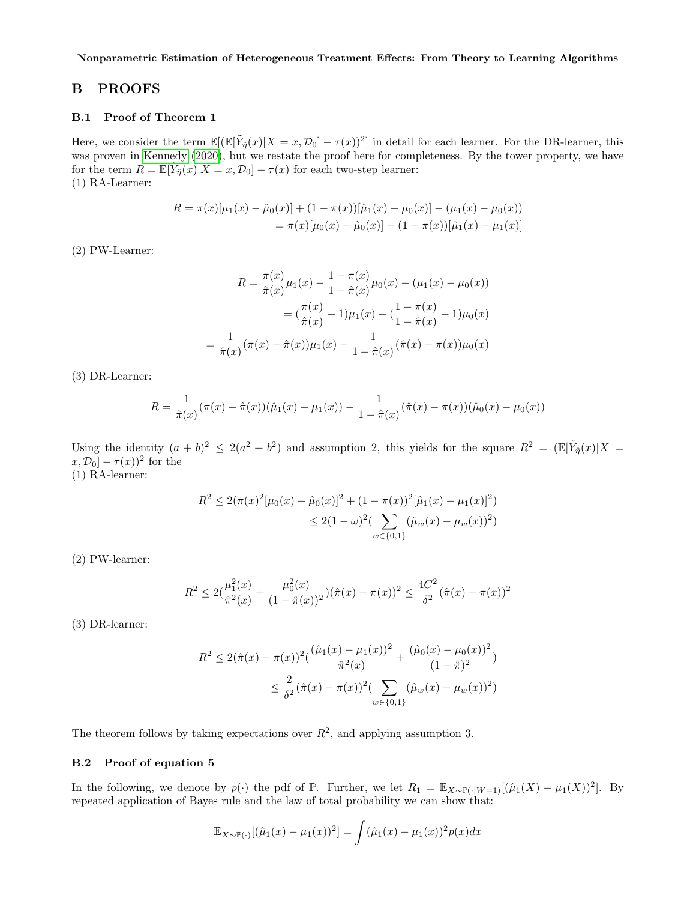# B PROOFS

### B.1 Proof of Theorem 1

Here, we consider the term  $\mathbb{E}[(\mathbb{E}[\tilde{Y}_{\hat{\eta}}(x)|X=x,\mathcal{D}_0]-\tau(x))^2]$  in detail for each learner. For the DR-learner, this was proven in [Kennedy](#page-9-4) [\(2020\)](#page-9-4), but we restate the proof here for completeness. By the tower property, we have for the term  $R = \mathbb{E}[\tilde{Y}_{\hat{\eta}}(x)|X=x, \mathcal{D}_0] - \tau(x)$  for each two-step learner: (1) RA-Learner:

$$
R = \pi(x)[\mu_1(x) - \hat{\mu}_0(x)] + (1 - \pi(x))[\hat{\mu}_1(x) - \mu_0(x)] - (\mu_1(x) - \mu_0(x))
$$
  
=  $\pi(x)[\mu_0(x) - \hat{\mu}_0(x)] + (1 - \pi(x))[\hat{\mu}_1(x) - \mu_1(x)]$ 

(2) PW-Learner:

$$
R = \frac{\pi(x)}{\hat{\pi}(x)} \mu_1(x) - \frac{1 - \pi(x)}{1 - \hat{\pi}(x)} \mu_0(x) - (\mu_1(x) - \mu_0(x))
$$

$$
= (\frac{\pi(x)}{\hat{\pi}(x)} - 1)\mu_1(x) - (\frac{1 - \pi(x)}{1 - \hat{\pi}(x)} - 1)\mu_0(x)
$$

$$
= \frac{1}{\hat{\pi}(x)} (\pi(x) - \hat{\pi}(x))\mu_1(x) - \frac{1}{1 - \hat{\pi}(x)} (\hat{\pi}(x) - \pi(x))\mu_0(x)
$$

(3) DR-Learner:

$$
R = \frac{1}{\hat{\pi}(x)}(\pi(x) - \hat{\pi}(x))(\hat{\mu}_1(x) - \mu_1(x)) - \frac{1}{1 - \hat{\pi}(x)}(\hat{\pi}(x) - \pi(x))(\hat{\mu}_0(x) - \mu_0(x))
$$

Using the identity  $(a + b)^2 \leq 2(a^2 + b^2)$  and assumption 2, this yields for the square  $R^2 = \mathbb{E}[\tilde{Y}_{\hat{\eta}}(x)|X =$  $[x, \mathcal{D}_0] - \tau(x))^2$  for the

(1) RA-learner:

$$
R^2 \le 2(\pi(x)^2[\mu_0(x) - \hat{\mu}_0(x)]^2 + (1 - \pi(x))^2[\hat{\mu}_1(x) - \mu_1(x)]^2)
$$
  

$$
\le 2(1 - \omega)^2 \left(\sum_{w \in \{0, 1\}} (\hat{\mu}_w(x) - \mu_w(x))^2\right)
$$

(2) PW-learner:

$$
R^2 \le 2\left(\frac{\mu_1^2(x)}{\hat{\pi}^2(x)} + \frac{\mu_0^2(x)}{(1-\hat{\pi}(x))^2}\right)(\hat{\pi}(x) - \pi(x))^2 \le \frac{4C^2}{\delta^2}(\hat{\pi}(x) - \pi(x))^2
$$

(3) DR-learner:

$$
R^{2} \leq 2(\hat{\pi}(x) - \pi(x))^{2} \left( \frac{(\hat{\mu}_{1}(x) - \mu_{1}(x))^{2}}{\hat{\pi}^{2}(x)} + \frac{(\hat{\mu}_{0}(x) - \mu_{0}(x))^{2}}{(1 - \hat{\pi})^{2}} \right)
$$
  

$$
\leq \frac{2}{\delta^{2}} (\hat{\pi}(x) - \pi(x))^{2} \left( \sum_{w \in \{0, 1\}} (\hat{\mu}_{w}(x) - \mu_{w}(x))^{2} \right)
$$

The theorem follows by taking expectations over  $R^2$ , and applying assumption 3.

## B.2 Proof of equation 5

In the following, we denote by  $p(\cdot)$  the pdf of  $\mathbb P$ . Further, we let  $R_1 = \mathbb{E}_{X \sim \mathbb{P}(\cdot|W=1)}[(\hat{\mu}_1(X) - \mu_1(X))^2]$ . By repeated application of Bayes rule and the law of total probability we can show that:

$$
\mathbb{E}_{X \sim \mathbb{P}(\cdot)} [(\hat{\mu}_1(x) - \mu_1(x))^2] = \int (\hat{\mu}_1(x) - \mu_1(x))^2 p(x) dx
$$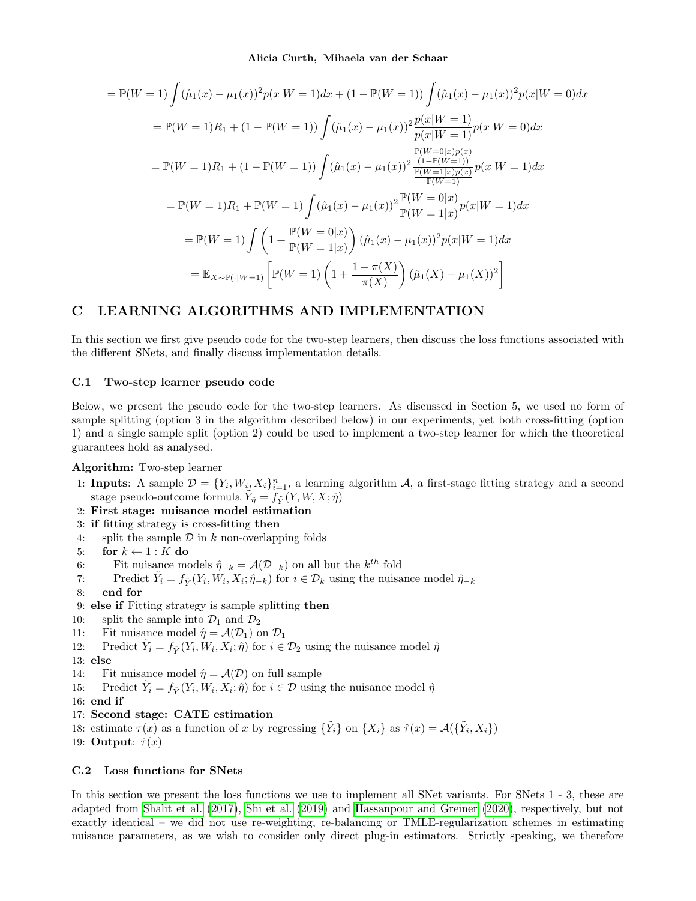$$
\mathbb{P}(W = 1) \int (\hat{\mu}_1(x) - \mu_1(x))^2 p(x|W = 1) dx + (1 - \mathbb{P}(W = 1)) \int (\hat{\mu}_1(x) - \mu_1(x))^2 p(x|W = 0) dx
$$
  
\n
$$
= \mathbb{P}(W = 1)R_1 + (1 - \mathbb{P}(W = 1)) \int (\hat{\mu}_1(x) - \mu_1(x))^2 \frac{p(x|W = 1)}{p(x|W = 1)} p(x|W = 0) dx
$$
  
\n
$$
= \mathbb{P}(W = 1)R_1 + (1 - \mathbb{P}(W = 1)) \int (\hat{\mu}_1(x) - \mu_1(x))^2 \frac{\frac{p(w = 0|x)p(x)}{1 - \mathbb{P}(W = 1)}}{\frac{p(w = 0|x)p(x)}{1 - \mathbb{P}(W = 1)}} p(x|W = 1) dx
$$
  
\n
$$
= \mathbb{P}(W = 1)R_1 + \mathbb{P}(W = 1) \int (\hat{\mu}_1(x) - \mu_1(x))^2 \frac{\mathbb{P}(W = 0|x)}{\mathbb{P}(W = 1|x)} p(x|W = 1) dx
$$
  
\n
$$
= \mathbb{P}(W = 1) \int \left(1 + \frac{\mathbb{P}(W = 0|x)}{\mathbb{P}(W = 1|x)}\right) (\hat{\mu}_1(x) - \mu_1(x))^2 p(x|W = 1) dx
$$
  
\n
$$
= \mathbb{E}_{X \sim \mathbb{P}(\cdot|W = 1)} \left[ \mathbb{P}(W = 1) \left(1 + \frac{1 - \pi(X)}{\pi(X)}\right) (\hat{\mu}_1(X) - \mu_1(X))^2 \right]
$$

# C LEARNING ALGORITHMS AND IMPLEMENTATION

In this section we first give pseudo code for the two-step learners, then discuss the loss functions associated with the different SNets, and finally discuss implementation details.

### C.1 Two-step learner pseudo code

Below, we present the pseudo code for the two-step learners. As discussed in Section 5, we used no form of sample splitting (option 3 in the algorithm described below) in our experiments, yet both cross-fitting (option 1) and a single sample split (option 2) could be used to implement a two-step learner for which the theoretical guarantees hold as analysed.

Algorithm: Two-step learner

- 1: **Inputs**: A sample  $\mathcal{D} = \{Y_i, W_{i_1} X_i\}_{i=1}^n$ , a learning algorithm A, a first-stage fitting strategy and a second stage pseudo-outcome formula  $\tilde{Y}_{\hat{\eta}} = f_{\tilde{Y}}(Y, W, X; \hat{\eta})$
- 2: First stage: nuisance model estimation
- 3: if fitting strategy is cross-fitting then
- 4: split the sample  $\mathcal D$  in  $k$  non-overlapping folds
- 5: for  $k \leftarrow 1 : K$  do
- 6: Fit nuisance models  $\hat{\eta}_{-k} = \mathcal{A}(\mathcal{D}_{-k})$  on all but the  $k^{th}$  fold
- 7: Predict  $\tilde{Y}_i = f_{\tilde{Y}}(Y_i, W_i, X_i; \hat{\eta}_{-k})$  for  $i \in \mathcal{D}_k$  using the nuisance model  $\hat{\eta}_{-k}$
- 8: end for
- 9: else if Fitting strategy is sample splitting then
- 10: split the sample into  $\mathcal{D}_1$  and  $\mathcal{D}_2$
- 11: Fit nuisance model  $\hat{\eta} = \mathcal{A}(\mathcal{D}_1)$  on  $\mathcal{D}_1$
- 12: Predict  $\tilde{Y}_i = f_{\tilde{Y}}(Y_i, W_i, X_i; \hat{\eta})$  for  $i \in \mathcal{D}_2$  using the nuisance model  $\hat{\eta}$
- 13: else
- 14: Fit nuisance model  $\hat{\eta} = \mathcal{A}(\mathcal{D})$  on full sample
- 15: Predict  $\tilde{Y}_i = f_{\tilde{Y}}(Y_i, W_i, X_i; \hat{\eta})$  for  $i \in \mathcal{D}$  using the nuisance model  $\hat{\eta}$
- 16: end if
- 17: Second stage: CATE estimation
- 18: estimate  $\tau(x)$  as a function of x by regressing  $\{\tilde{Y}_i\}$  on  $\{X_i\}$  as  $\hat{\tau}(x) = \mathcal{A}(\{\tilde{Y}_i, X_i\})$
- 19: **Output**:  $\hat{\tau}(x)$

## C.2 Loss functions for SNets

In this section we present the loss functions we use to implement all SNet variants. For SNets 1 - 3, these are adapted from [Shalit et al.](#page-10-5) [\(2017\)](#page-10-5), [Shi et al.](#page-10-6) [\(2019\)](#page-10-6) and [Hassanpour and Greiner](#page-9-8) [\(2020\)](#page-9-8), respectively, but not exactly identical – we did not use re-weighting, re-balancing or TMLE-regularization schemes in estimating nuisance parameters, as we wish to consider only direct plug-in estimators. Strictly speaking, we therefore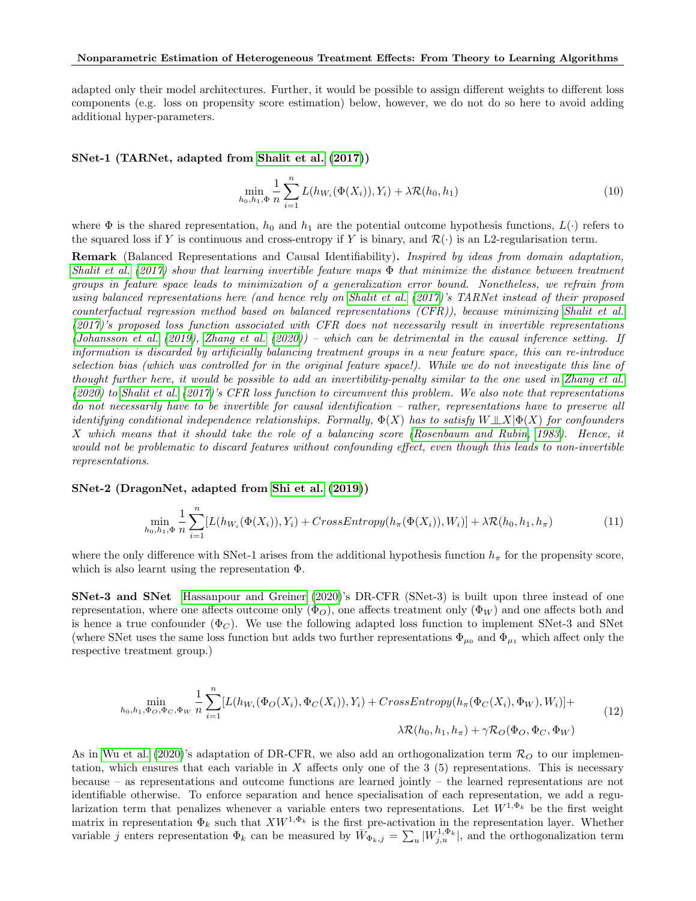adapted only their model architectures. Further, it would be possible to assign different weights to different loss components (e.g. loss on propensity score estimation) below, however, we do not do so here to avoid adding additional hyper-parameters.

#### SNet-1 (TARNet, adapted from [Shalit et al.](#page-10-5) [\(2017\)](#page-10-5))

$$
\min_{h_0, h_1, \Phi} \frac{1}{n} \sum_{i=1}^n L(h_{W_i}(\Phi(X_i)), Y_i) + \lambda \mathcal{R}(h_0, h_1)
$$
\n(10)

where  $\Phi$  is the shared representation,  $h_0$  and  $h_1$  are the potential outcome hypothesis functions,  $L(\cdot)$  refers to the squared loss if Y is continuous and cross-entropy if Y is binary, and  $\mathcal{R}(\cdot)$  is an L2-regularisation term.

Remark (Balanced Representations and Causal Identifiability). Inspired by ideas from domain adaptation, [Shalit et al.](#page-10-5) [\(2017\)](#page-10-5) show that learning invertible feature maps  $\Phi$  that minimize the distance between treatment groups in feature space leads to minimization of a generalization error bound. Nonetheless, we refrain from using balanced representations here (and hence rely on [Shalit et al.](#page-10-5) [\(2017\)](#page-10-5)'s TARNet instead of their proposed counterfactual regression method based on balanced representations (CFR)), because minimizing [Shalit et al.](#page-10-5)  $(2017)'s$  $(2017)'s$  proposed loss function associated with CFR does not necessarily result in invertible representations [\(Johansson et al.](#page-9-21) [\(2019\)](#page-9-21), [Zhang et al.](#page-10-8) [\(2020\)](#page-10-8)) – which can be detrimental in the causal inference setting. If information is discarded by artificially balancing treatment groups in a new feature space, this can re-introduce selection bias (which was controlled for in the original feature space!). While we do not investigate this line of thought further here, it would be possible to add an invertibility-penalty similar to the one used in [Zhang et al.](#page-10-8) [\(2020\)](#page-10-8) to [Shalit et al.](#page-10-5) [\(2017\)](#page-10-5)'s CFR loss function to circumvent this problem. We also note that representations do not necessarily have to be invertible for causal identification – rather, representations have to preserve all identifying conditional independence relationships. Formally,  $\Phi(X)$  has to satisfy  $W \perp \!\!\!\perp X|\Phi(X)$  for confounders X which means that it should take the role of a balancing score [\(Rosenbaum and Rubin, 1983\)](#page-10-14). Hence, it would not be problematic to discard features without confounding effect, even though this leads to non-invertible representations.

SNet-2 (DragonNet, adapted from [Shi et al.](#page-10-6) [\(2019\)](#page-10-6))

$$
\min_{h_0, h_1, \Phi} \frac{1}{n} \sum_{i=1}^n [L(h_{W_i}(\Phi(X_i)), Y_i) + CrossEntropy(h_\pi(\Phi(X_i)), W_i)] + \lambda \mathcal{R}(h_0, h_1, h_\pi)
$$
\n(11)

where the only difference with SNet-1 arises from the additional hypothesis function  $h_{\pi}$  for the propensity score, which is also learnt using the representation Φ.

SNet-3 and SNet [Hassanpour and Greiner](#page-9-8) [\(2020\)](#page-9-8)'s DR-CFR (SNet-3) is built upon three instead of one representation, where one affects outcome only  $(\Phi_O)$ , one affects treatment only  $(\Phi_W)$  and one affects both and is hence a true confounder ( $\Phi_C$ ). We use the following adapted loss function to implement SNet-3 and SNet (where SNet uses the same loss function but adds two further representations  $\Phi_{\mu_0}$  and  $\Phi_{\mu_1}$  which affect only the respective treatment group.)

$$
\min_{h_0, h_1, \Phi_O, \Phi_C, \Phi_W} \frac{1}{n} \sum_{i=1}^n [L(h_{W_i}(\Phi_O(X_i), \Phi_C(X_i)), Y_i) + CrossEntropy(h_{\pi}(\Phi_C(X_i), \Phi_W), W_i)] + \lambda \mathcal{R}(h_0, h_1, h_{\pi}) + \gamma \mathcal{R}_O(\Phi_O, \Phi_C, \Phi_W)
$$
\n(12)

As in [Wu et al.](#page-10-11) [\(2020\)](#page-10-11)'s adaptation of DR-CFR, we also add an orthogonalization term  $\mathcal{R}_O$  to our implementation, which ensures that each variable in  $X$  affects only one of the 3 (5) representations. This is necessary because – as representations and outcome functions are learned jointly – the learned representations are not identifiable otherwise. To enforce separation and hence specialisation of each representation, we add a regularization term that penalizes whenever a variable enters two representations. Let  $W^{1,\Phi_k}$  be the first weight matrix in representation  $\Phi_k$  such that  $XW^{1,\Phi_k}$  is the first pre-activation in the representation layer. Whether variable j enters representation  $\Phi_k$  can be measured by  $\bar{W}_{\Phi_k,j} = \sum_u |W_{j,u}^{1,\Phi_k}|$ , and the orthogonalization term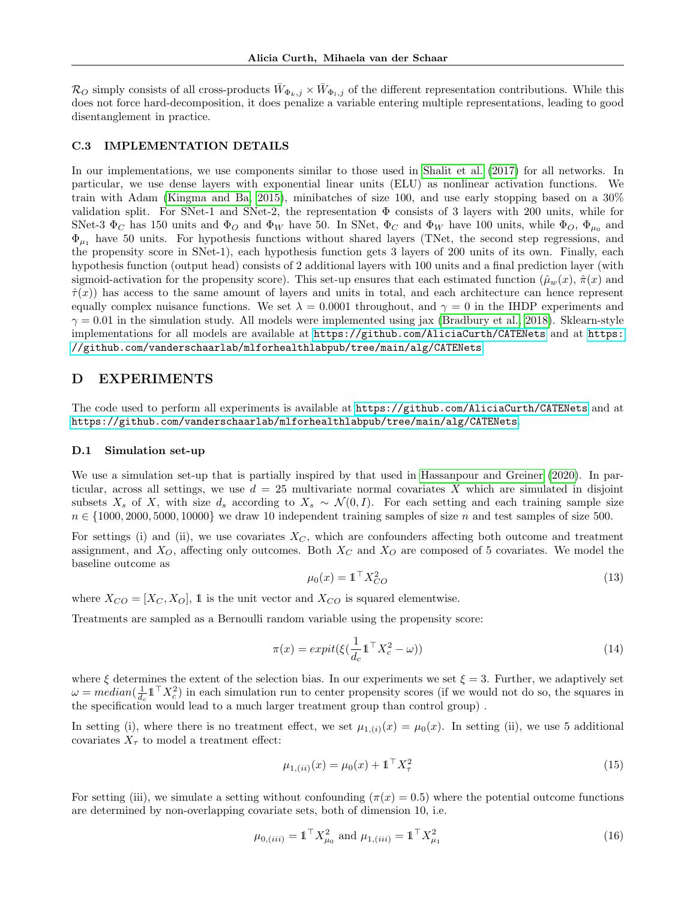$\mathcal{R}_O$  simply consists of all cross-products  $\bar{W}_{\Phi_k,j} \times \bar{W}_{\Phi_l,j}$  of the different representation contributions. While this does not force hard-decomposition, it does penalize a variable entering multiple representations, leading to good disentanglement in practice.

#### C.3 IMPLEMENTATION DETAILS

In our implementations, we use components similar to those used in [Shalit et al.](#page-10-5) [\(2017\)](#page-10-5) for all networks. In particular, we use dense layers with exponential linear units (ELU) as nonlinear activation functions. We train with Adam [\(Kingma and Ba, 2015\)](#page-9-22), minibatches of size 100, and use early stopping based on a 30% validation split. For SNet-1 and SNet-2, the representation Φ consists of 3 layers with 200 units, while for SNet-3  $\Phi_C$  has 150 units and  $\Phi_O$  and  $\Phi_W$  have 50. In SNet,  $\Phi_C$  and  $\Phi_W$  have 100 units, while  $\Phi_O$ ,  $\Phi_{\mu_0}$  and  $\Phi_{\mu_1}$  have 50 units. For hypothesis functions without shared layers (TNet, the second step regressions, and the propensity score in SNet-1), each hypothesis function gets 3 layers of 200 units of its own. Finally, each hypothesis function (output head) consists of 2 additional layers with 100 units and a final prediction layer (with sigmoid-activation for the propensity score). This set-up ensures that each estimated function  $(\hat{\mu}_w(x), \hat{\pi}(x))$  and  $\hat{\tau}(x)$ ) has access to the same amount of layers and units in total, and each architecture can hence represent equally complex nuisance functions. We set  $\lambda = 0.0001$  throughout, and  $\gamma = 0$  in the IHDP experiments and  $\gamma = 0.01$  in the simulation study. All models were implemented using jax [\(Bradbury et al., 2018\)](#page-9-23). Sklearn-style implementations for all models are available at <https://github.com/AliciaCurth/CATENets> and at [https:](https://github.com/vanderschaarlab/mlforhealthlabpub/tree/main/alg/CATENets) [//github.com/vanderschaarlab/mlforhealthlabpub/tree/main/alg/CATENets](https://github.com/vanderschaarlab/mlforhealthlabpub/tree/main/alg/CATENets).

## D EXPERIMENTS

The code used to perform all experiments is available at <https://github.com/AliciaCurth/CATENets> and at <https://github.com/vanderschaarlab/mlforhealthlabpub/tree/main/alg/CATENets>.

#### D.1 Simulation set-up

We use a simulation set-up that is partially inspired by that used in [Hassanpour and Greiner](#page-9-8) [\(2020\)](#page-9-8). In particular, across all settings, we use  $d = 25$  multivariate normal covariates X which are simulated in disjoint subsets  $X_s$  of X, with size  $d_s$  according to  $X_s \sim \mathcal{N}(0, I)$ . For each setting and each training sample size  $n \in \{1000, 2000, 5000, 10000\}$  we draw 10 independent training samples of size n and test samples of size 500.

For settings (i) and (ii), we use covariates  $X_C$ , which are confounders affecting both outcome and treatment assignment, and  $X_O$ , affecting only outcomes. Both  $X_C$  and  $X_O$  are composed of 5 covariates. We model the baseline outcome as

$$
\mu_0(x) = \mathbb{1}^\top X_{CO}^2 \tag{13}
$$

where  $X_{CO} = [X_C, X_O]$ , 1 is the unit vector and  $X_{CO}$  is squared elementwise.

Treatments are sampled as a Bernoulli random variable using the propensity score:

$$
\pi(x) = expit(\xi(\frac{1}{d_c}\mathbb{1}^\top X_c^2 - \omega))
$$
\n(14)

where  $\xi$  determines the extent of the selection bias. In our experiments we set  $\xi = 3$ . Further, we adaptively set  $\omega = median(\frac{1}{d_c}\mathbb{1}^T X_c^2)$  in each simulation run to center propensity scores (if we would not do so, the squares in the specification would lead to a much larger treatment group than control group) .

In setting (i), where there is no treatment effect, we set  $\mu_{1,(i)}(x) = \mu_0(x)$ . In setting (ii), we use 5 additional covariates  $X_{\tau}$  to model a treatment effect:

$$
\mu_{1,(ii)}(x) = \mu_0(x) + \mathbf{1}^\top X_\tau^2 \tag{15}
$$

For setting (iii), we simulate a setting without confounding ( $\pi(x) = 0.5$ ) where the potential outcome functions are determined by non-overlapping covariate sets, both of dimension 10, i.e.

$$
\mu_{0,(iii)} = \mathbb{1}^{\top} X_{\mu_0}^2 \text{ and } \mu_{1,(iii)} = \mathbb{1}^{\top} X_{\mu_1}^2 \tag{16}
$$